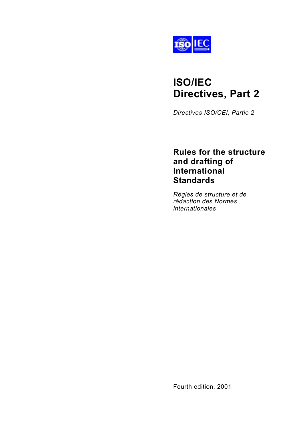

# **ISO/IEC Directives, Part 2**

*Directives ISO/CEI, Partie 2*

# **Rules for the structure and drafting of International Standards**

*Règles de structure et de rédaction des Normes internationales*

Fourth edition, 2001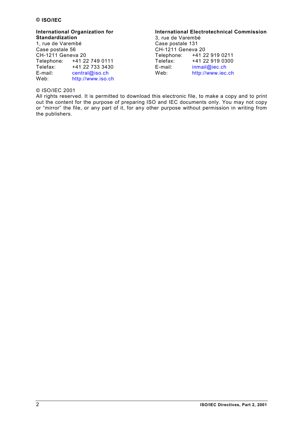#### **International Organization for Standardization**

1, rue de Varembé Case postale 56 CH-1211 Geneva 20 Telephone: +41 22 749 0111 Telefax: +41 22 733 3430 E-mail: [central@iso.ch](mailto:central@iso.ch) Web: [http://www.iso.ch](http://www.iso.ch/)

## **International Electrotechnical Commission**

3, rue de Varembé Case postale 131  $CH-1211$  Geneva 20<br>Telephone:  $+412$ Telephone: +41 22 919 0211 Telefax: +41 22 919 0300 E-mail: [inmail@iec.ch](mailto:inmail@iec.ch) Web: [http://www.iec.ch](http://www.iec.ch/)

## © ISO/IEC 2001

All rights reserved. It is permitted to download this electronic file, to make a copy and to print out the content for the purpose of preparing ISO and IEC documents only. You may not copy or "mirror" the file, or any part of it, for any other purpose without permission in writing from the publishers.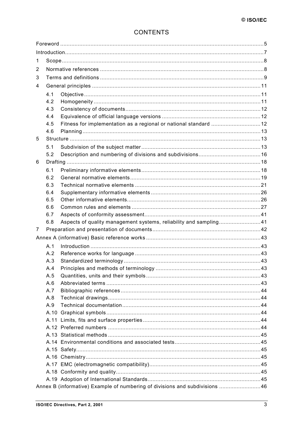# **CONTENTS**

| 1 |     |                                                                             |  |
|---|-----|-----------------------------------------------------------------------------|--|
| 2 |     |                                                                             |  |
| 3 |     |                                                                             |  |
| 4 |     |                                                                             |  |
|   | 4.1 |                                                                             |  |
|   | 4.2 |                                                                             |  |
|   | 4.3 |                                                                             |  |
|   | 4.4 |                                                                             |  |
|   | 4.5 | Fitness for implementation as a regional or national standard  12           |  |
|   | 4.6 |                                                                             |  |
| 5 |     |                                                                             |  |
|   | 5.1 |                                                                             |  |
|   | 5.2 |                                                                             |  |
| 6 |     |                                                                             |  |
|   | 6.1 |                                                                             |  |
|   | 6.2 |                                                                             |  |
|   | 6.3 |                                                                             |  |
|   | 6.4 |                                                                             |  |
|   | 6.5 |                                                                             |  |
|   | 6.6 |                                                                             |  |
|   | 6.7 |                                                                             |  |
|   |     |                                                                             |  |
|   | 6.8 | Aspects of quality management systems, reliability and sampling41           |  |
| 7 |     |                                                                             |  |
|   |     |                                                                             |  |
|   | A.1 |                                                                             |  |
|   | A.2 |                                                                             |  |
|   | A.3 |                                                                             |  |
|   | A.4 |                                                                             |  |
|   | A.5 |                                                                             |  |
|   | A.6 |                                                                             |  |
|   | A.7 |                                                                             |  |
|   | A.8 |                                                                             |  |
|   | A.9 |                                                                             |  |
|   |     |                                                                             |  |
|   |     |                                                                             |  |
|   |     |                                                                             |  |
|   |     |                                                                             |  |
|   |     |                                                                             |  |
|   |     |                                                                             |  |
|   |     |                                                                             |  |
|   |     |                                                                             |  |
|   |     |                                                                             |  |
|   |     | Annex B (informative) Example of numbering of divisions and subdivisions 46 |  |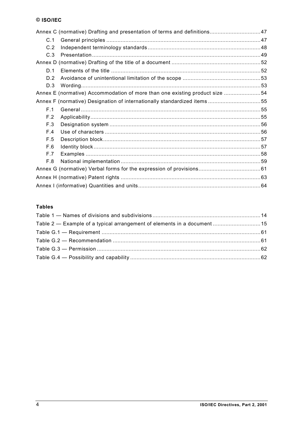|     | Annex C (normative) Drafting and presentation of terms and definitions 47   |  |
|-----|-----------------------------------------------------------------------------|--|
| C.1 |                                                                             |  |
| C.2 |                                                                             |  |
| C.3 |                                                                             |  |
|     |                                                                             |  |
| D.1 |                                                                             |  |
| D.2 |                                                                             |  |
| D.3 |                                                                             |  |
|     | Annex E (normative) Accommodation of more than one existing product size 54 |  |
|     | Annex F (normative) Designation of internationally standardized items55     |  |
| F.1 |                                                                             |  |
| F.2 |                                                                             |  |
| F.3 |                                                                             |  |
| F.4 |                                                                             |  |
| F.5 |                                                                             |  |
| F.6 |                                                                             |  |
| F.7 |                                                                             |  |
| F.8 |                                                                             |  |
|     |                                                                             |  |
|     |                                                                             |  |
|     |                                                                             |  |

## **Tables**

| Table 2 — Example of a typical arrangement of elements in a document  15 |  |
|--------------------------------------------------------------------------|--|
|                                                                          |  |
|                                                                          |  |
|                                                                          |  |
|                                                                          |  |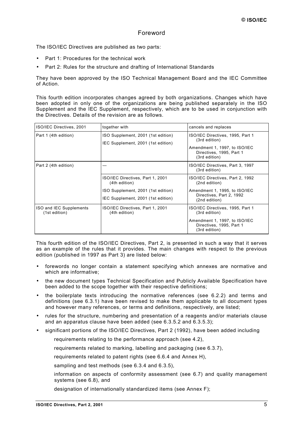## Foreword

<span id="page-4-0"></span>The ISO/IEC Directives are published as two parts:

- Part 1: Procedures for the technical work
- Part 2: Rules for the structure and drafting of International Standards

They have been approved by the ISO Technical Management Board and the IEC Committee of Action.

This fourth edition incorporates changes agreed by both organizations. Changes which have been adopted in only one of the organizations are being published separately in the ISO Supplement and the IEC Supplement, respectively, which are to be used in conjunction with the Directives. Details of the revision are as follows.

| ISO/IEC Directives, 2001                 | together with                                                            | cancels and replaces                                                                                                            |
|------------------------------------------|--------------------------------------------------------------------------|---------------------------------------------------------------------------------------------------------------------------------|
| Part 1 (4th edition)                     | ISO Supplement, 2001 (1st edition)<br>IEC Supplement, 2001 (1st edition) | ISO/IEC Directives, 1995, Part 1<br>(3rd edition)<br>Amendment 1, 1997, to ISO/IEC<br>Directives, 1995, Part 1<br>(3rd edition) |
| Part 2 (4th edition)                     |                                                                          | ISO/IEC Directives, Part 3, 1997<br>(3rd edition)                                                                               |
|                                          | ISO/IEC Directives, Part 1, 2001<br>(4th edition)                        | ISO/IEC Directives, Part 2, 1992<br>(2nd edition)                                                                               |
|                                          | ISO Supplement, 2001 (1st edition)<br>IEC Supplement, 2001 (1st edition) | Amendment 1, 1995, to ISO/IEC<br>Directives, Part 2, 1992<br>(2nd edition)                                                      |
| ISO and IEC Supplements<br>(1st edition) | ISO/IEC Directives, Part 1, 2001<br>(4th edition)                        | ISO/IEC Directives, 1995, Part 1<br>(3rd edition)                                                                               |
|                                          |                                                                          | Amendment 1, 1997, to ISO/IEC<br>Directives, 1995, Part 1<br>(3rd edition)                                                      |

This fourth edition of the ISO/IEC Directives, Part 2, is presented in such a way that it serves as an example of the rules that it provides. The main changes with respect to the previous edition (published in 1997 as Part 3) are listed below:

- forewords no longer contain a statement specifying which annexes are normative and which are informative;
- the new document types Technical Specification and Publicly Available Specification have been added to the scope together with their respective definitions;
- the boilerplate texts introducing the normative references (see [6.2.2\)](#page-19-0) and terms and definitions (see [6.3.1\)](#page-20-0) have been revised to make them applicable to all document types and however many references, or terms and definitions, respectively, are listed;
- rules for the structure, numbering and presentation of a reagents and/or materials clause and an apparatus clause have been added (see [6.3.5.2](#page-22-0) and [6.3.5.3\)](#page-23-0);
- significant portions of the ISO/IEC Directives, Part 2 (1992), have been added including
	- $-$  requirements relating to the performance approach (see [4.2\)](#page-10-0),
	- requirements related to marking, labelling and packaging (see [6.3.7\)](#page-24-0),
	- requirements related to patent rights (see [6.6.4](#page-28-0) and [Annex H\),](#page-62-0)
	- $-$  sampling and test methods (see [6.3.4](#page-21-0) and [6.3.5\)](#page-21-0),
	- $\overline{\phantom{a}}$  information on aspects of conformity assessment (see [6.7\)](#page-40-0) and quality management systems (see [6.8\)](#page-40-0), and
	- designation of internationally standardized items (see [Annex F\);](#page-54-0)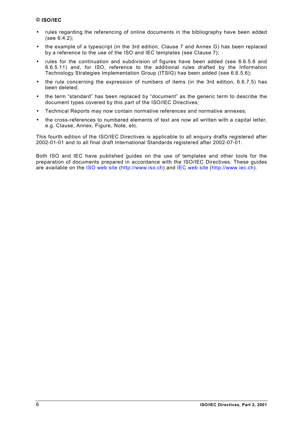- rules regarding the referencing of online documents in the bibliography have been added (see [6.4.2\)](#page-25-0);
- the example of a typescript (in the 3rd edition, Clause 7 and Annex G) has been replaced by a reference to the use of the ISO and IEC templates (see Clause [7\)](#page-41-0);
- rules for the continuation and subdivision of figures have been added (see [6.6.5.8](#page-30-0) and [6.6.5.11\)](#page-31-0) and, for ISO, reference to the additional rules drafted by the Information Technology Strategies Implementation Group (ITSIG) has been added (see [6.6.5.6\)](#page-29-0);
- the rule concerning the expression of numbers of items (in the 3rd edition, 6.6.7.5) has been deleted;
- the term "standard" has been replaced by "document" as the generic term to describe the document types covered by this part of the ISO/IEC Directives;
- Technical Reports may now contain normative references and normative annexes;
- the cross-references to numbered elements of text are now all written with a capital letter, e.g. Clause, Annex, Figure, Note, etc.

This fourth edition of the ISO/IEC Directives is applicable to all enquiry drafts registered after 2002-01-01 and to all final draft International Standards registered after 2002-07-01.

Both ISO and IEC have published guides on the use of templates and other tools for the preparation of documents prepared in accordance with the ISO/IEC Directives. These guides are available on the [ISO web site](http://www.iso.ch/) ([http://www.iso.ch\)](http://www.iso.ch/sdis) and [IEC web site](http://www.iec.ch/) ([http://www.iec.ch\).](http://www.iec.ch/contents.htm)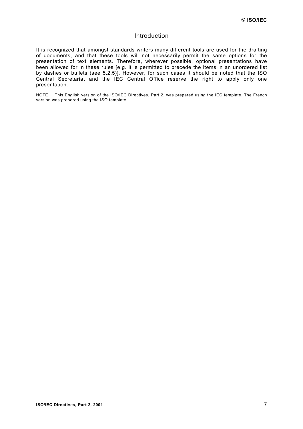## Introduction

<span id="page-6-0"></span>It is recognized that amongst standards writers many different tools are used for the drafting of documents, and that these tools will not necessarily permit the same options for the presentation of text elements. Therefore, wherever possible, optional presentations have been allowed for in these rules [e.g. it is permitted to precede the items in an unordered list by dashes or bullets (see [5.2.5\)](#page-16-0)]. However, for such cases it should be noted that the ISO Central Secretariat and the IEC Central Office reserve the right to apply only one presentation.

NOTE This English version of the ISO/IEC Directives, Part 2, was prepared using the IEC template. The French version was prepared using the ISO template.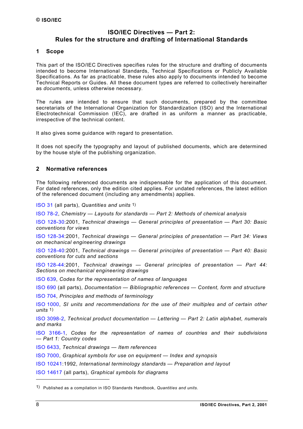## **ISO/IEC Directives — Part 2: Rules for the structure and drafting of International Standards**

## <span id="page-7-0"></span>**1 Scope**

This part of the ISO/IEC Directives specifies rules for the structure and drafting of documents intended to become International Standards, Technical Specifications or Publicly Available Specifications. As far as practicable, these rules also apply to documents intended to become Technical Reports or Guides. All these document types are referred to collectively hereinafter as *documents*, unless otherwise necessary.

The rules are intended to ensure that such documents, prepared by the committee secretariats of the International Organization for Standardization (ISO) and the International Electrotechnical Commission (IEC), are drafted in as uniform a manner as practicable, irrespective of the technical content.

It also gives some guidance with regard to presentation.

It does not specify the typography and layout of published documents, which are determined by the house style of the publishing organization.

## **2 Normative references**

<span id="page-7-1"></span>The following referenced documents are indispensable for the application of this document. For dated references, only the edition cited applies. For undated references, the latest edition of the referenced document (including any amendments) applies.

[ISO 31 \(](http://isotc.iso.ch/livelink/livelink?func=ll&objId=1012703&objAction=browse&sort=-modifydate/en)all parts), *Quantities and units* 1)

[ISO 78-2,](http://isotc.iso.ch/livelink/livelink?func=ll&objId=1012703&objAction=browse&sort=-modifydate/en) *Chemistry — Layouts for standards — Part 2: Methods of chemical analysis*

[ISO 128-30:](http://isotc.iso.ch/livelink/livelink?func=ll&objId=1012703&objAction=browse&sort=-modifydate/en)2001, *Technical drawings — General principles of presentation — Part 30: Basic conventions for views*

[ISO 128-34:](http://isotc.iso.ch/livelink/livelink?func=ll&objId=1012703&objAction=browse&sort=-modifydate/en)2001, *Technical drawings — General principles of presentation — Part 34: Views on mechanical engineering drawings*

[ISO 128-40:](http://isotc.iso.ch/livelink/livelink?func=ll&objId=1012703&objAction=browse&sort=-modifydate/en)2001, *Technical drawings — General principles of presentation — Part 40: Basic conventions for cuts and sections*

[ISO 128-44:2](http://isotc.iso.ch/livelink/livelink?func=ll&objId=1012703&objAction=browse&sort=-modifydate/en)001, *Technical drawings — General principles of presentation — Part 44: Sections on mechanical engineering drawings*

[ISO 639,](http://isotc.iso.ch/livelink/livelink?func=ll&objId=1012703&objAction=browse&sort=-modifydate/en) *Codes for the representation of names of languages*

[ISO 690 \(](http://isotc.iso.ch/livelink/livelink?func=ll&objId=1012703&objAction=browse&sort=-modifydate/en)all parts), *Documentation — Bibliographic references — Content, form and structure*

[ISO 704,](http://isotc.iso.ch/livelink/livelink?func=ll&objId=1012703&objAction=browse&sort=-modifydate/en) *Principles and methods of terminology*

[ISO 1000,](http://isotc.iso.ch/livelink/livelink?func=ll&objId=1012703&objAction=browse&sort=-modifydate/en) *SI units and recommendations for the use of their multiples and of certain other units* 1)

ISO [3098-2,](http://isotc.iso.ch/livelink/livelink?func=ll&objId=1012703&objAction=browse&sort=-modifydate/en) *Technical product documentation — Lettering — Part 2: Latin alphabet, numerals and marks*

[ISO 3166-1,](http://isotc.iso.ch/livelink/livelink?func=ll&objId=1012703&objAction=browse&sort=-modifydate/en) *Codes for the representation of names of countries and their subdivisions — Part 1: Country codes*

[ISO 6433,](http://isotc.iso.ch/livelink/livelink?func=ll&objId=1012703&objAction=browse&sort=-modifydate/en) *Technical drawings — Item references*

[ISO 7000,](http://isotc.iso.ch/livelink/livelink?func=ll&objId=1012703&objAction=browse&sort=-modifydate/en) *Graphical symbols for use on equipment — Index and synopsis*

[ISO 10241:1](http://isotc.iso.ch/livelink/livelink?func=ll&objId=1012703&objAction=browse&sort=-modifydate/en)992, *International terminology standards — Preparation and layout*

[ISO 14617 \(](http://isotc.iso.ch/livelink/livelink?func=ll&objId=1012703&objAction=browse&sort=-modifydate/en)all parts), *Graphical symbols for diagrams*

l

<sup>1)</sup> Published as a compilation in ISO Standards Handbook, *Quantities and units*.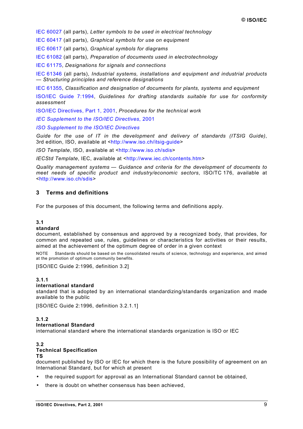<span id="page-8-0"></span>[IEC 60027 \(](http://www.iec.ch/cgi-bin/procgi.pl/www/iecwww.p?wwwlang=E&wwwprog=sea22.p&search=iecnumber&header=IEC&pubno=60027&part=&se=&number=&searchfor=&ics=)all parts), *Letter symbols to be used in electrical technology*

[IEC 60417 \(](http://www.iec.ch/cgi-bin/procgi.pl/www/iecwww.p?wwwlang=E&wwwprog=sea22.p&search=iecnumber&header=IEC&pubno=60417&part=&se=&number=&searchfor=&ics=)all parts), *Graphical symbols for use on equipment*

[IEC 60617 \(](http://www.iec.ch/cgi-bin/procgi.pl/www/iecwww.p?wwwlang=E&wwwprog=sea22.p&search=iecnumber&header=IEC&pubno=60617&part=&se=&number=&searchfor=&ics=)all parts), *Graphical symbols for diagrams*

[IEC 61082 \(](http://www.iec.ch/cgi-bin/procgi.pl/www/iecwww.p?wwwlang=E&wwwprog=sea22.p&search=iecnumber&header=IEC&pubno=61082&part=&se=&number=&searchfor=&ics=)all parts), *Preparation of documents used in electrotechnology*

[IEC 61175,](http://www.iec.ch/cgi-bin/procgi.pl/www/iecwww.p?wwwlang=E&wwwprog=sea22.p&search=iecnumber&header=IEC&pubno=61175&part=&se=&number=&searchfor=&ics=) *Designations for signals and connections*

[IEC 61346](http://www.iec.ch/cgi-bin/procgi.pl/www/iecwww.p?wwwlang=E&wwwprog=sea22.p&search=iecnumber&header=IEC&pubno=61346&part=&se=&number=&searchfor=&ics=) (all parts), *Industrial systems, installations and equipment and industrial products — Structuring principles and reference designations*

[IEC 61355,](http://www.iec.ch/cgi-bin/procgi.pl/www/iecwww.p?wwwlang=E&wwwprog=sea22.p&search=iecnumber&header=IEC&pubno=61355&part=&se=&number=&searchfor=&ics=) *Classification and designation of documents for plants, systems and equipment*

[ISO/IEC Guide 7:1994,](http://isotc.iso.ch/livelink/livelink?func=ll&objId=1012703&objAction=browse&sort=-modifydate/en) *Guidelines for drafting standards suitable for use for conformity assessment*

[ISO/IEC Directives, Part 1, 2001,](http://isotc.iso.ch/livelink/livelink?func=ll&objId=650757&objAction=browse&sort=-modifydate/en) *Procedures for the technical work*

*[IEC Supplement to the ISO/IEC Directives](http://www.iec.ch/pub/directives/Directives-IECSup-Ed1.pdf)*, 2001

*[ISO Supplement to the ISO/IEC Directives](http://isotc.iso.ch/livelink/livelink?func=ll&objId=639371&objAction=browse&sort=-modifydate/en)*

*Guide for the use of IT in the development and delivery of standards (ITSIG Guide)*, 3rd edition, ISO, available at <[http://www.iso.ch/itsig-guide>](http://www.iso.ch/itsig-guide)

*ISO Template*, ISO, available at <[http://www.iso.ch/sdis>](http://www.iso.ch/sdis)

*IECStd Template*, IEC, available at <[http://www.iec.ch/contents.htm>](http://www.iec.ch/contents.htm)

*Quality management systems — Guidance and criteria for the development of documents to meet needs of specific product and industry/economic sectors*, ISO/TC 176, available at <[http://www.iso.ch/sdis>](http://www.iso.ch/sdis)

## **3 Terms and definitions**

For the purposes of this document, the following terms and definitions apply.

#### **3.1**

#### **standard**

document, established by consensus and approved by a recognized body, that provides, for common and repeated use, rules, guidelines or characteristics for activities or their results, aimed at the achievement of the optimum degree of order in a given context

NOTE Standards should be based on the consolidated results of science, technology and experience, and aimed at the promotion of optimum community benefits.

[ISO/IEC Guide 2:1996, definition 3.2]

#### **3.1.1**

#### **international standard**

standard that is adopted by an international standardizing/standards organization and made available to the public

[ISO/IEC Guide 2:1996, definition 3.2.1.1]

#### **3.1.2**

#### **International Standard**

international standard where the international standards organization is ISO or IEC

#### **3.2 Technical Specification**

#### **TS**

document published by ISO or IEC for which there is the future possibility of agreement on an International Standard, but for which at present

- the required support for approval as an International Standard cannot be obtained,
- there is doubt on whether consensus has been achieved.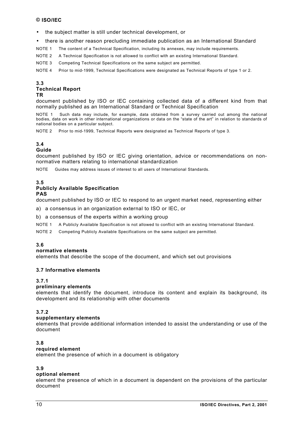- <span id="page-9-0"></span>• the subject matter is still under technical development, or
- there is another reason precluding immediate publication as an International Standard
- NOTE 1 The content of a Technical Specification, including its annexes, may include requirements.
- NOTE 2 A Technical Specification is not allowed to conflict with an existing International Standard.

NOTE 3 Competing Technical Specifications on the same subject are permitted.

NOTE 4 Prior to mid-1999, Technical Specifications were designated as Technical Reports of type 1 or 2.

#### **[3.](#page-8-0)3 Technical Report TR**

document published by ISO or IEC containing collected data of a different kind from that normally published as an International Standard or Technical Specification

NOTE 1 Such data may include, for example, data obtained from a survey carried out among the national bodies, data on work in other international organizations or data on the "state of the art" in relation to standards of national bodies on a particular subject.

NOTE 2 Prior to mid-1999, Technical Reports were designated as Technical Reports of type 3.

## **[3.](#page-8-0)4**

## **Guide**

document published by ISO or IEC giving orientation, advice or recommendations on nonnormative matters relating to international standardization

NOTE Guides may address issues of interest to all users of International Standards.

## **3.5**

#### **Publicly Available Specification PAS**

document published by ISO or IEC to respond to an urgent market need, representing either

a) a consensus in an organization external to ISO or IEC, or

b) a consensus of the experts within a working group

NOTE 1 A Publicly Available Specification is not allowed to conflict with an existing International Standard.

NOTE 2 Competing Publicly Available Specifications on the same subject are permitted.

## **[3.](#page-8-0)6**

#### **normative elements**

elements that describe the scope of the document, and which set out provisions

#### **[3.](#page-8-0)7 Informative elements**

#### **[3.](#page-8-0)7.1**

## **preliminary elements**

elements that identify the document, introduce its content and explain its background, its development and its relationship with other documents

#### **[3.](#page-8-0)7.2**

#### **supplementary elements**

elements that provide additional information intended to assist the understanding or use of the document

#### **[3.](#page-8-0)8**

## **required element**

element the presence of which in a document is obligatory

## **[3.](#page-8-0)9**

## **optional element**

element the presence of which in a document is dependent on the provisions of the particular document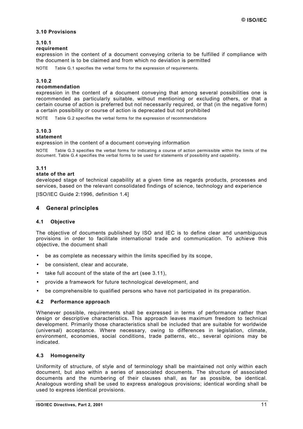## <span id="page-10-0"></span>**[3.](#page-8-0)10 Provisions**

## **[3.](#page-8-0)10.1**

#### **requirement**

expression in the content of a document conveying criteria to be fulfilled if compliance with the document is to be claimed and from which no deviation is permitted

NOTE [Table G.1 s](#page-60-0)pecifies the verbal forms for the expression of requirements.

## **[3.](#page-8-0)10.2**

#### **recommendation**

expression in the content of a document conveying that among several possibilities one is recommended as particularly suitable, without mentioning or excluding others, or that a certain course of action is preferred but not necessarily required, or that (in the negative form) a certain possibility or course of action is deprecated but not prohibited

NOTE [Table G.2 s](#page-60-0)pecifies the verbal forms for the expression of recommendations

## **[3.](#page-8-0)10.3**

## **statement**

expression in the content of a document conveying information

NOTE [Table G.3 s](#page-61-0)pecifies the verbal forms for indicating a course of action permissible within the limits of the document. [Table G.4 s](#page-61-0)pecifies the verbal forms to be used for statements of possibility and capability.

## **[3.](#page-8-0)11**

#### **state of the art**

developed stage of technical capability at a given time as regards products, processes and services, based on the relevant consolidated findings of science, technology and experience

[ISO/IEC Guide 2:1996, definition 1.4]

## **4 General principles**

#### **4.1 Objective**

The objective of documents published by ISO and IEC is to define clear and unambiguous provisions in order to facilitate international trade and communication. To achieve this objective, the document shall

- be as complete as necessary within the limits specified by its scope.
- be consistent, clear and accurate,
- take full account of the state of the art (see 3.11),
- provide a framework for future technological development, and
- be comprehensible to qualified persons who have not participated in its preparation.

#### **4.2 Performance approach**

Whenever possible, requirements shall be expressed in terms of performance rather than design or descriptive characteristics. This approach leaves maximum freedom to technical development. Primarily those characteristics shall be included that are suitable for worldwide (universal) acceptance. Where necessary, owing to differences in legislation, climate, environment, economies, social conditions, trade patterns, etc., several opinions may be indicated.

#### **4.3 Homogeneity**

Uniformity of structure, of style and of terminology shall be maintained not only within each document, but also within a series of associated documents. The structure of associated documents and the numbering of their clauses shall, as far as possible, be identical. Analogous wording shall be used to express analogous provisions; identical wording shall be used to express identical provisions.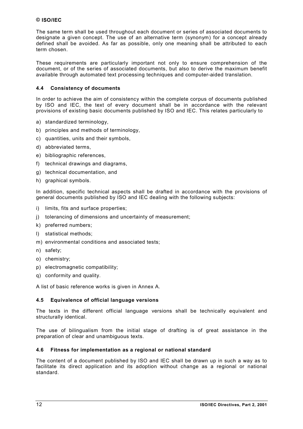<span id="page-11-0"></span>The same term shall be used throughout each document or series of associated documents to designate a given concept. The use of an alternative term (synonym) for a concept already defined shall be avoided. As far as possible, only one meaning shall be attributed to each term chosen.

These requirements are particularly important not only to ensure comprehension of the document, or of the series of associated documents, but also to derive the maximum benefit available through automated text processing techniques and computer-aided translation.

## **4.4 Consistency of documents**

In order to achieve the aim of consistency within the complete corpus of documents published by ISO and IEC, the text of every document shall be in accordance with the relevant provisions of existing basic documents published by ISO and IEC. This relates particularly to

- a) standardized terminology,
- b) principles and methods of terminology,
- c) quantities, units and their symbols,
- d) abbreviated terms,
- e) bibliographic references,
- f) technical drawings and diagrams,
- g) technical documentation, and
- h) graphical symbols.

In addition, specific technical aspects shall be drafted in accordance with the provisions of general documents published by ISO and IEC dealing with the following subjects:

- i) limits, fits and surface properties;
- j) tolerancing of dimensions and uncertainty of measurement;
- k) preferred numbers;
- l) statistical methods;
- m) environmental conditions and associated tests;
- n) safety;
- o) chemistry;
- p) electromagnetic compatibility;
- q) conformity and quality.

A list of basic reference works is given in [Annex A.](#page-42-0)

#### **4.5 Equivalence of official language versions**

The texts in the different official language versions shall be technically equivalent and structurally identical.

The use of bilingualism from the initial stage of drafting is of great assistance in the preparation of clear and unambiguous texts.

#### **4.6 Fitness for implementation as a regional or national standard**

The content of a document published by ISO and IEC shall be drawn up in such a way as to facilitate its direct application and its adoption without change as a regional or national standard.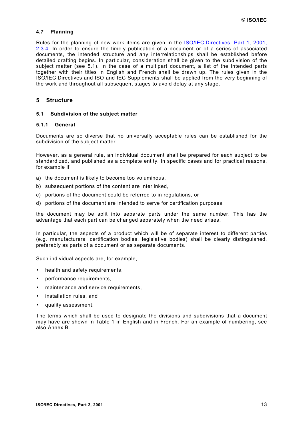## <span id="page-12-0"></span>**4.7 Planning**

Rules for the planning of new work items are given in the [ISO/IEC Directives, Part 1, 2001,](http://isotc.iso.ch/livelink/livelink?func=ll&objId=650757&objAction=browse&sort=-modifydate/en) [2.3.4.](#page-22-0) In order to ensure the timely publication of a document or of a series of associated documents, the intended structure and any interrelationships shall be established before detailed drafting begins. In particular, consideration shall be given to the subdivision of the subject matter (see 5.1). In the case of a multipart document, a list of the intended parts together with their titles in English and French shall be drawn up. The rules given in the ISO/IEC Directives and ISO and IEC Supplements shall be applied from the very beginning of the work and throughout all subsequent stages to avoid delay at any stage.

## **5 Structure**

#### **5.1 Subdivision of the subject matter**

#### **5.1.1 General**

Documents are so diverse that no universally acceptable rules can be established for the subdivision of the subject matter.

However, as a general rule, an individual document shall be prepared for each subject to be standardized, and published as a complete entity. In specific cases and for practical reasons, for example if

- a) the document is likely to become too voluminous,
- b) subsequent portions of the content are interlinked,
- c) portions of the document could be referred to in regulations, or
- d) portions of the document are intended to serve for certification purposes,

the document may be split into separate parts under the same number. This has the advantage that each part can be changed separately when the need arises.

In particular, the aspects of a product which will be of separate interest to different parties (e.g. manufacturers, certification bodies, legislative bodies) shall be clearly distinguished, preferably as parts of a document or as separate documents.

Such individual aspects are, for example,

- health and safety requirements,
- performance requirements,
- maintenance and service requirements,
- installation rules, and
- quality assessment.

The terms which shall be used to designate the divisions and subdivisions that a document may have are shown in [Table 1](#page-13-0) in English and in French. For an example of numbering, see also [Annex B.](#page-45-0)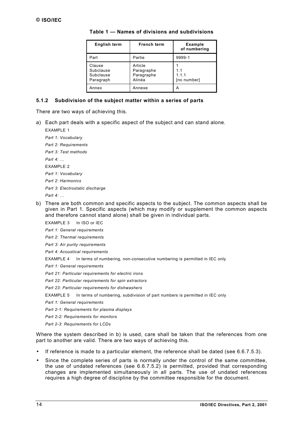| English term                                  | <b>French term</b>                            | <b>Example</b><br>of numbering |
|-----------------------------------------------|-----------------------------------------------|--------------------------------|
| Part                                          | Partie                                        | 9999-1                         |
| Clause<br>Subclause<br>Subclause<br>Paragraph | Article<br>Paragraphe<br>Paragraphe<br>Alinéa | 1.1<br>1.1.1<br>[no number]    |
| Annex                                         | Annexe                                        | А                              |

<span id="page-13-0"></span>**Table 1 — Names of divisions and subdivisions**

#### **5.1.2 Subdivision of the subject matter within a series of parts**

There are two ways of achieving this.

a) Each part deals with a specific aspect of the subject and can stand alone.

EXAMPLE 1 *Part 1: Vocabulary Part 2: Requirements Part 3: Test methods Part 4: …* EXAMPLE 2 *Part 1: Vocabulary Part 2: Harmonics Part 3: Electrostatic discharge Part 4: …*

- 
- b) There are both common and specific aspects to the subject. The common aspects shall be given in Part 1. Specific aspects (which may modify or supplement the common aspects and therefore cannot stand alone) shall be given in individual parts.
	- EXAMPLE 3 In ISO or IEC
	- *Part 1: General requirements*
	- *Part 2: Thermal requirements*
	- *Part 3: Air purity requirements*
	- *Part 4: Acoustical requirements*
	- EXAMPLE 4 In terms of numbering, non-consecutive numbering is permitted in IEC only

*Part 1: General requirements*

*Part 21: Particular requirements for electric irons*

- *Part 22: Particular requirements for spin extractors*
- *Part 23: Particular requirements for dishwashers*
- EXAMPLE 5 In terms of numbering, subdivision of part numbers is permitted in IEC only

*Part 1: General requirements*

*Part 2-1: Requirements for plasma displays*

*Part 2-2: Requirements for monitors*

*Part 2-3: Requirements for LCDs*

Where the system described in b) is used, care shall be taken that the references from one part to another are valid. There are two ways of achieving this.

- If reference is made to a particular element, the reference shall be dated (see [6.6.7.5.3\)](#page-35-0).
- Since the complete series of parts is normally under the control of the same committee, the use of undated references (see [6.6.7.5.2\)](#page-35-0) is permitted, provided that corresponding changes are implemented simultaneously in all parts. The use of undated references requires a high degree of discipline by the committee responsible for the document.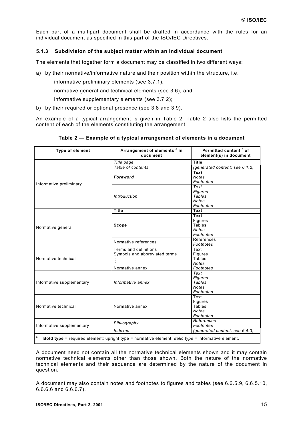<span id="page-14-0"></span>Each part of a multipart document shall be drafted in accordance with the rules for an individual document as specified in this part of the ISO/IEC Directives.

## **5.1.3 Subdivision of the subject matter within an individual document**

The elements that together form a document may be classified in two different ways:

- a) by their normative/informative nature and their position within the structure, i.e.
	- $-$  informative preliminary elements (see [3.7.1\)](#page-9-0),
	- normative general and technical elements (see [3.6\)](#page-9-0), and
	- informative supplementary elements (see [3.7.2\)](#page-9-0);
- b) by their required or optional presence (see [3.8](#page-9-0) and [3.9\).](#page-9-0)

An example of a typical arrangement is given in Table 2. Table 2 also lists the permitted content of each of the elements constituting the arrangement.

| <b>Type of element</b>    | Arrangement of elements <sup>a</sup> in<br>document                                                       | Permitted content <sup>a</sup> of<br>element(s) in document          |  |
|---------------------------|-----------------------------------------------------------------------------------------------------------|----------------------------------------------------------------------|--|
|                           | Title page                                                                                                | <b>Title</b>                                                         |  |
|                           | Table of contents                                                                                         | (generated content; see 6.1.2)                                       |  |
|                           | Foreword                                                                                                  | Text<br><b>Notes</b><br>Footnotes                                    |  |
| Informative preliminary   | Introduction                                                                                              | Text<br>Figures<br><b>Tables</b><br><b>Notes</b><br>Footnotes        |  |
|                           | <b>Title</b>                                                                                              | <b>Text</b>                                                          |  |
| Normative general         | Scope                                                                                                     | <b>Text</b><br><b>Figures</b><br>Tables<br><b>Notes</b><br>Footnotes |  |
|                           | Normative references                                                                                      | References<br>Footnotes                                              |  |
| Normative technical       | Terms and definitions<br>Symbols and abbreviated terms<br>Normative annex                                 | Text<br>Figures<br>Tables<br><b>Notes</b><br>Footnotes               |  |
| Informative supplementary | Informative annex                                                                                         | Text<br>Figures<br><b>Tables</b><br><b>Notes</b><br>Footnotes        |  |
| Normative technical       | Normative annex                                                                                           | Text<br>Figures<br>Tables<br><b>Notes</b><br>Footnotes               |  |
| Informative supplementary | Bibliography                                                                                              | References<br>Footnotes                                              |  |
|                           | Indexes                                                                                                   | (generated content; see 6.4.3)                                       |  |
| $\mathsf a$               | Bold type = required element; upright type = normative element; <i>italic type</i> = informative element. |                                                                      |  |

|  | Table 2 — Example of a typical arrangement of elements in a document |
|--|----------------------------------------------------------------------|
|--|----------------------------------------------------------------------|

A document need not contain all the normative technical elements shown and it may contain normative technical elements other than those shown. Both the nature of the normative technical elements and their sequence are determined by the nature of the document in question.

A document may also contain notes and footnotes to figures and tables (see [6.6.5.9,](#page-30-0) [6.6.5.10,](#page-31-0) [6.6.6.6](#page-33-0) and [6.6.6.7\)](#page-33-0).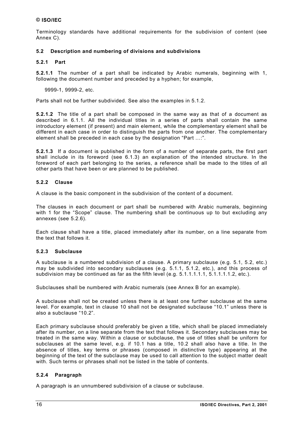<span id="page-15-0"></span>Terminology standards have additional requirements for the subdivision of content (see [Annex C\).](#page-46-0)

## **5.2 Description and numbering of divisions and subdivisions**

## **5.2.1 Part**

**5.2.1.1** The number of a part shall be indicated by Arabic numerals, beginning with 1, following the document number and preceded by a hyphen; for example,

9999-1, 9999-2, etc.

Parts shall not be further subdivided. See also the examples in [5.1.2.](#page-13-0)

**5.2.1.2** The title of a part shall be composed in the same way as that of a document as described in [6.1.1.](#page-17-0) All the individual titles in a series of parts shall contain the same introductory element (if present) and main element, while the complementary element shall be different in each case in order to distinguish the parts from one another. The complementary element shall be preceded in each case by the designation "Part …:".

**5.2.1.3** If a document is published in the form of a number of separate parts, the first part shall include in its foreword (see [6.1.3\)](#page-18-0) an explanation of the intended structure. In the foreword of each part belonging to the series, a reference shall be made to the titles of all other parts that have been or are planned to be published.

## **5.2.2 Clause**

A clause is the basic component in the subdivision of the content of a document.

The clauses in each document or part shall be numbered with Arabic numerals, beginning with 1 for the "Scope" clause. The numbering shall be continuous up to but excluding any annexes (see [5.2.6\)](#page-17-0).

Each clause shall have a title, placed immediately after its number, on a line separate from the text that follows it.

#### **5.2.3 Subclause**

A subclause is a numbered subdivision of a clause. A primary subclause (e.g. 5.1, 5.2, etc.) may be subdivided into secondary subclauses (e.g. 5.1.1, 5.1.2, etc.), and this process of subdivision may be continued as far as the fifth level (e.g. 5.1.1.1.1.1, 5.1.1.1.1.2, etc.).

Subclauses shall be numbered with Arabic numerals (see [Annex B f](#page-45-0)or an example).

A subclause shall not be created unless there is at least one further subclause at the same level. For example, text in clause 10 shall not be designated subclause "10.1" unless there is also a subclause "10.2".

Each primary subclause should preferably be given a title, which shall be placed immediately after its number, on a line separate from the text that follows it. Secondary subclauses may be treated in the same way. Within a clause or subclause, the use of titles shall be uniform for subclauses at the same level, e.g. if 10.1 has a title, 10.2 shall also have a title. In the absence of titles, key terms or phrases (composed in distinctive type) appearing at the beginning of the text of the subclause may be used to call attention to the subject matter dealt with. Such terms or phrases shall not be listed in the table of contents.

## **5.2.4 Paragraph**

A paragraph is an unnumbered subdivision of a clause or subclause.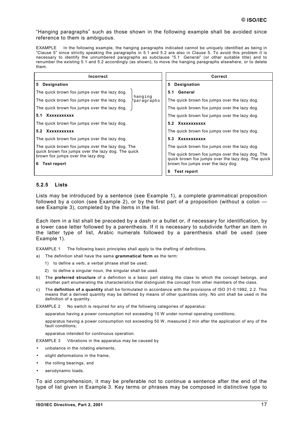<span id="page-16-0"></span>"Hanging paragraphs" such as those shown in the following example shall be avoided since reference to them is ambiguous.

EXAMPLE In the following example, the hanging paragraphs indicated cannot be uniquely identified as being in "Clause 5" since strictly speaking the paragraphs in 5.1 and 5.2 are also in Clause 5. To avoid this problem it is necessary to identify the unnumbered paragraphs as subclause "5.1 General" (or other suitable title) and to renumber the existing 5.1 and 5.2 accordingly (as shown), to move the hanging paragraphs elsewhere, or to delete them.

| Incorrect                                                                                                                                                        |                       |                                                                                          | Correct                                          |
|------------------------------------------------------------------------------------------------------------------------------------------------------------------|-----------------------|------------------------------------------------------------------------------------------|--------------------------------------------------|
| 5<br>Designation                                                                                                                                                 |                       | 5                                                                                        | <b>Designation</b>                               |
| The quick brown fox jumps over the lazy dog.                                                                                                                     |                       |                                                                                          | 5.1 General                                      |
| The quick brown fox jumps over the lazy dog.                                                                                                                     | hanging<br>paragraphs |                                                                                          | The quick brown fox jumps over the lazy dog.     |
| The quick brown fox jumps over the lazy dog.                                                                                                                     |                       |                                                                                          | The quick brown fox jumps over the lazy dog.     |
| Xxxxxxxxxxx<br>5.1                                                                                                                                               |                       | The quick brown fox jumps over the lazy dog.                                             |                                                  |
| The quick brown fox jumps over the lazy dog.                                                                                                                     |                       | 5.2 Xxxxxxxxxxx                                                                          |                                                  |
| 5.2 XXXXXXXXXX                                                                                                                                                   |                       |                                                                                          | The quick brown fox jumps over the lazy dog.     |
| The quick brown fox jumps over the lazy dog.                                                                                                                     |                       |                                                                                          | 5.3 Xxxxxxxxxxx                                  |
| The quick brown fox jumps over the lazy dog. The<br>quick brown fox jumps over the lazy dog. The quick<br>brown fox jumps over the lazy dog.<br>Test report<br>6 |                       |                                                                                          | The quick brown fox jumps over the lazy dog.     |
|                                                                                                                                                                  |                       |                                                                                          | The quick brown fox jumps over the lazy dog. The |
|                                                                                                                                                                  |                       | quick brown fox jumps over the lazy dog. The quick<br>brown fox jumps over the lazy dog. |                                                  |
|                                                                                                                                                                  |                       | 6                                                                                        | <b>Test report</b>                               |

## **5.2.5 Lists**

Lists may be introduced by a sentence (see Example 1), a complete grammatical proposition followed by a colon (see Example 2), or by the first part of a proposition (without a colon – see Example 3), completed by the items in the list.

Each item in a list shall be preceded by a dash or a bullet or, if necessary for identification, by a lower case letter followed by a parenthesis. If it is necessary to subdivide further an item in the latter type of list, Arabic numerals followed by a parenthesis shall be used (see Example 1).

EXAMPLE 1 The following basic principles shall apply to the drafting of definitions.

a) The definition shall have the same **grammatical form** as the term:

- 1) to define a verb, a verbal phrase shall be used;
- 2) to define a singular noun, the singular shall be used.
- b) The **preferred structure** of a definition is a basic part stating the class to which the concept belongs, and another part enumerating the characteristics that distinguish the concept from other members of the class.
- c) The **definition of a quantity** shall be formulated in accordance with the provisions of ISO 31-0:1992, 2.2. This means that a derived quantity may be defined by means of other quantities only. No unit shall be used in the definition of a quantity.

EXAMPLE 2 No switch is required for any of the following categories of apparatus:

- apparatus having a power consumption not exceeding 10 W under normal operating conditions;
- apparatus having a power consumption not exceeding 50 W, measured 2 min after the application of any of the fault conditions;
- apparatus intended for continuous operation.

EXAMPLE 3 Vibrations in the apparatus may be caused by

- unbalance in the rotating elements,
- slight deformations in the frame,
- the rolling bearings, and
- aerodynamic loads.

To aid comprehension, it may be preferable not to continue a sentence after the end of the type of list given in Example 3. Key terms or phrases may be composed in distinctive type to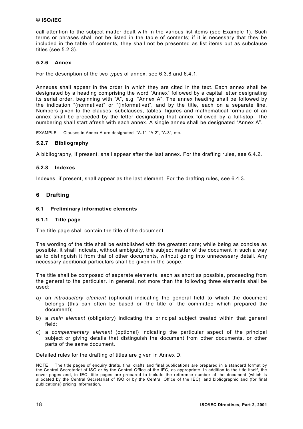<span id="page-17-0"></span>call attention to the subject matter dealt with in the various list items (see Example 1). Such terms or phrases shall not be listed in the table of contents; if it is necessary that they be included in the table of contents, they shall not be presented as list items but as subclause titles (see [5.2.3\)](#page-15-0).

## **5.2.6 Annex**

For the description of the two types of annex, see [6.3.8 a](#page-25-0)nd [6.4.1.](#page-25-0)

Annexes shall appear in the order in which they are cited in the text. Each annex shall be designated by a heading comprising the word "Annex" followed by a capital letter designating its serial order, beginning with "A", e.g. "Annex A". The annex heading shall be followed by the indication "(normative)" or "(informative)", and by the title, each on a separate line. Numbers given to the clauses, subclauses, tables, figures and mathematical formulae of an annex shall be preceded by the letter designating that annex followed by a full-stop. The numbering shall start afresh with each annex. A single annex shall be designated "Annex A".

EXAMPLE Clauses in Annex A are designated "A.1", "A.2", "A.3", etc.

#### **5.2.7 Bibliography**

A bibliography, if present, shall appear after the last annex. For the drafting rules, see [6.4.2.](#page-25-0)

#### **5.2.8 Indexes**

Indexes, if present, shall appear as the last element. For the drafting rules, see [6.4.3.](#page-25-0)

## **6 Drafting**

#### **6.1 Preliminary informative elements**

#### **6.1.1 Title page**

The title page shall contain the title of the document.

The wording of the title shall be established with the greatest care; while being as concise as possible, it shall indicate, without ambiguity, the subject matter of the document in such a way as to distinguish it from that of other documents, without going into unnecessary detail. Any necessary additional particulars shall be given in the scope.

The title shall be composed of separate elements, each as short as possible, proceeding from the general to the particular. In general, not more than the following three elements shall be used:

- a) an *introductory element* (optional) indicating the general field to which the document belongs (this can often be based on the title of the committee which prepared the document);
- b) a *main element* (obligatory) indicating the principal subject treated within that general field;
- c) a *complementary element* (optional) indicating the particular aspect of the principal subject or giving details that distinguish the document from other documents, or other parts of the same document.

Detailed rules for the drafting of titles are given in [Annex D.](#page-51-0)

NOTE The title pages of enquiry drafts, final drafts and final publications are prepared in a standard format by the Central Secretariat of ISO or by the Central Office of the IEC, as appropriate. In addition to the title itself, the cover pages and, in IEC, title pages are prepared to include the reference number of the document (which is allocated by the Central Secretariat of ISO or by the Central Office of the IEC), and bibliographic and (for final publications) pricing information.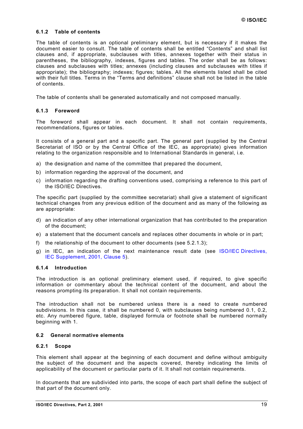#### <span id="page-18-0"></span>**6.1.2 Table of contents**

The table of contents is an optional preliminary element, but is necessary if it makes the document easier to consult. The table of contents shall be entitled "Contents" and shall list clauses and, if appropriate, subclauses with titles, annexes together with their status in parentheses, the bibliography, indexes, figures and tables. The order shall be as follows: clauses and subclauses with titles; annexes (including clauses and subclauses with titles if appropriate); the bibliography; indexes; figures; tables. All the elements listed shall be cited with their full titles. Terms in the "Terms and definitions" clause shall not be listed in the table of contents.

The table of contents shall be generated automatically and not composed manually.

#### **6.1.3 Foreword**

The foreword shall appear in each document. It shall not contain requirements, recommendations, figures or tables.

It consists of a general part and a specific part. The general part (supplied by the Central Secretariat of ISO or by the Central Office of the IEC, as appropriate) gives information relating to the organization responsible and to International Standards in general, i.e.

- a) the designation and name of the committee that prepared the document,
- b) information regarding the approval of the document, and
- c) information regarding the drafting conventions used, comprising a reference to this part of the ISO/IEC Directives.

The specific part (supplied by the committee secretariat) shall give a statement of significant technical changes from any previous edition of the document and as many of the following as are appropriate:

- d) an indication of any other international organization that has contributed to the preparation of the document;
- e) a statement that the document cancels and replaces other documents in whole or in part;
- f) the relationship of the document to other documents (see [5.2.1.](#page-15-0)3);
- g) in IEC, an indication of the next maintenance result date (see [ISO/IEC Directives,](http://www.iec.ch/pub/directives/Directives-IECSup-Ed1.pdf) [IEC Supplement, 2001, Clause 5\)](#page-7-1).

#### **6.1.4 Introduction**

The introduction is an optional preliminary element used, if required, to give specific information or commentary about the technical content of the document, and about the reasons prompting its preparation. It shall not contain requirements.

The introduction shall not be numbered unless there is a need to create numbered subdivisions. In this case, it shall be numbered 0, with subclauses being numbered 0.1, 0.2, etc. Any numbered figure, table, displayed formula or footnote shall be numbered normally beginning with 1.

## **6.2 General normative elements**

#### **6.2.1 Scope**

This element shall appear at the beginning of each document and define without ambiguity the subject of the document and the aspects covered, thereby indicating the limits of applicability of the document or particular parts of it. It shall not contain requirements.

In documents that are subdivided into parts, the scope of each part shall define the subject of that part of the document only.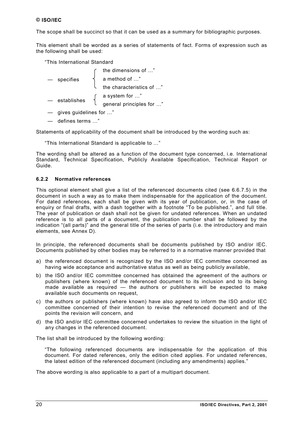<span id="page-19-0"></span>The scope shall be succinct so that it can be used as a summary for bibliographic purposes.

This element shall be worded as a series of statements of fact. Forms of expression such as the following shall be used:

"This International Standard

— specifies

the dimensions of …" a method of …" the characteristics of …"  $-$  establishes  $\int$  a system for ..."

- general principles for …"
- gives guidelines for …"
- defines terms …"

Statements of applicability of the document shall be introduced by the wording such as:

"This International Standard is applicable to …"

The wording shall be altered as a function of the document type concerned, i.e. International Standard, Technical Specification, Publicly Available Specification, Technical Report or Guide.

## **6.2.2 Normative references**

This optional element shall give a list of the referenced documents cited (see [6.6.7.5\)](#page-35-0) in the document in such a way as to make them indispensable for the application of the document. For dated references, each shall be given with its year of publication, or, in the case of enquiry or final drafts, with a dash together with a footnote "To be published.", and full title. The year of publication or dash shall not be given for undated references. When an undated reference is to all parts of a document, the publication number shall be followed by the indication "(all parts)" and the general title of the series of parts (i.e. the introductory and main elements, see [Annex D\).](#page-51-0)

In principle, the referenced documents shall be documents published by ISO and/or IEC. Documents published by other bodies may be referred to in a normative manner provided that

- a) the referenced document is recognized by the ISO and/or IEC committee concerned as having wide acceptance and authoritative status as well as being publicly available,
- b) the ISO and/or IEC committee concerned has obtained the agreement of the authors or publishers (where known) of the referenced document to its inclusion and to its being made available as required — the authors or publishers will be expected to make available such documents on request,
- c) the authors or publishers (where known) have also agreed to inform the ISO and/or IEC committee concerned of their intention to revise the referenced document and of the points the revision will concern, and
- d) the ISO and/or IEC committee concerned undertakes to review the situation in the light of any changes in the referenced document.

The list shall be introduced by the following wording:

"The following referenced documents are indispensable for the application of this document. For dated references, only the edition cited applies. For undated references, the latest edition of the referenced document (including any amendments) applies."

The above wording is also applicable to a part of a multipart document.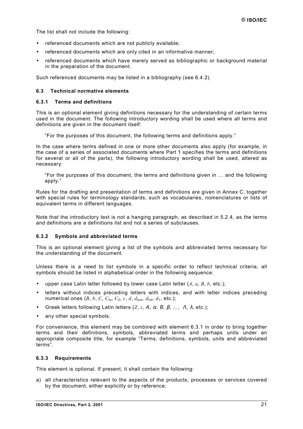<span id="page-20-0"></span>The list shall not include the following:

- referenced documents which are not publicly available;
- referenced documents which are only cited in an informative manner;
- referenced documents which have merely served as bibliographic or background material in the preparation of the document.

Such referenced documents may be listed in a bibliography (see [6.4.2\)](#page-25-0).

## **6.3 Technical normative elements**

#### **6.3.1 Terms and definitions**

This is an optional element giving definitions necessary for the understanding of certain terms used in the document. The following introductory wording shall be used where all terms and definitions are given in the document itself:

"For the purposes of this document, the following terms and definitions apply."

In the case where terms defined in one or more other documents also apply (for example, in the case of a series of associated documents where Part 1 specifies the terms and definitions for several or all of the parts), the following introductory wording shall be used, altered as necessary:

"For the purposes of this document, the terms and definitions given in … and the following apply."

Rules for the drafting and presentation of terms and definitions are given in [Annex C,](#page-46-0) together with special rules for terminology standards, such as vocabularies, nomenclatures or lists of equivalent terms in different languages.

Note that the introductory text is not a hanging paragraph, as described in [5.2.4,](#page-15-0) as the terms and definitions are a definitions list and not a series of subclauses.

#### **6.3.2 Symbols and abbreviated terms**

This is an optional element giving a list of the symbols and abbreviated terms necessary for the understanding of the document.

Unless there is a need to list symbols in a specific order to reflect technical criteria, all symbols should be listed in alphabetical order in the following sequence:

- upper case Latin letter followed by lower case Latin letter (*A*, *a*, *B*, *b*, etc.);
- letters without indices preceding letters with indices, and with letter indices preceding numerical ones  $(B, b, C, C_m, C_2, c, d, d_{ext}, d_{int}, d_1, etc.);$
- Greek letters following Latin letters (*Z*, *z*, <sup>Α</sup>, α, Β, β, …, <sup>Λ</sup>, λ, etc.);
- any other special symbols.

For convenience, this element may be combined with element 6.3.1 in order to bring together terms and their definitions, symbols, abbreviated terms and perhaps units under an appropriate composite title, for example "Terms, definitions, symbols, units and abbreviated terms".

#### **6.3.3 Requirements**

This element is optional. If present, it shall contain the following:

a) all characteristics relevant to the aspects of the products, processes or services covered by the document, either explicitly or by reference;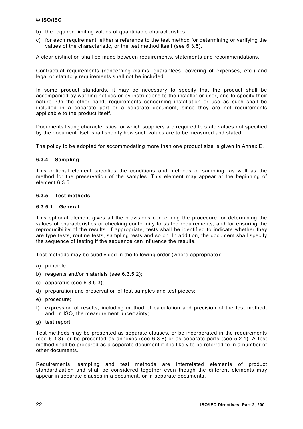- <span id="page-21-0"></span>b) the required limiting values of quantifiable characteristics;
- c) for each requirement, either a reference to the test method for determining or verifying the values of the characteristic, or the test method itself (see 6.3.5).

A clear distinction shall be made between requirements, statements and recommendations.

Contractual requirements (concerning claims, guarantees, covering of expenses, etc.) and legal or statutory requirements shall not be included.

In some product standards, it may be necessary to specify that the product shall be accompanied by warning notices or by instructions to the installer or user, and to specify their nature. On the other hand, requirements concerning installation or use as such shall be included in a separate part or a separate document, since they are not requirements applicable to the product itself.

Documents listing characteristics for which suppliers are required to state values not specified by the document itself shall specify how such values are to be measured and stated.

The policy to be adopted for accommodating more than one product size is given in [Annex E.](#page-53-0)

## **6.3.4 Sampling**

This optional element specifies the conditions and methods of sampling, as well as the method for the preservation of the samples. This element may appear at the beginning of element 6.3.5.

## **6.3.5 Test methods**

## **6.3.5.1 General**

This optional element gives all the provisions concerning the procedure for determining the values of characteristics or checking conformity to stated requirements, and for ensuring the reproducibility of the results. If appropriate, tests shall be identified to indicate whether they are type tests, routine tests, sampling tests and so on. In addition, the document shall specify the sequence of testing if the sequence can influence the results.

Test methods may be subdivided in the following order (where appropriate):

- a) principle;
- b) reagents and/or materials (see [6.3.5.2\);](#page-22-0)
- c) apparatus (see [6.3.5.3\)](#page-23-0);
- d) preparation and preservation of test samples and test pieces;
- e) procedure;
- f) expression of results, including method of calculation and precision of the test method, and, in ISO, the measurement uncertainty;
- g) test report.

Test methods may be presented as separate clauses, or be incorporated in the requirements (see [6.3.3\)](#page-20-0), or be presented as annexes (see [6.3.8\)](#page-25-0) or as separate parts (see [5.2.1\)](#page-15-0). A test method shall be prepared as a separate document if it is likely to be referred to in a number of other documents.

Requirements, sampling and test methods are interrelated elements of product standardization and shall be considered together even though the different elements may appear in separate clauses in a document, or in separate documents.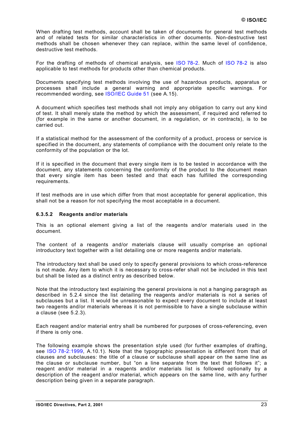<span id="page-22-0"></span>When drafting test methods, account shall be taken of documents for general test methods and of related tests for similar characteristics in other documents. Non-destructive test methods shall be chosen whenever they can replace, within the same level of confidence, destructive test methods.

For the drafting of methods of chemical analysis, see [ISO 78-2.](http://isotc.iso.ch/livelink/livelink?func=ll&objId=1012703&objAction=browse&sort=-modifydate/en) Much of [ISO 78-2](http://www.iso.ch/isob/switch-engine-cate.pl?searchtype=refnumber&KEYWORDS=78) is also applicable to test methods for products other than chemical products.

Documents specifying test methods involving the use of hazardous products, apparatus or processes shall include a general warning and appropriate specific warnings. For recommended wording, see [ISO/IEC Guide 51 \(](http://www.iso.ch/iso/en/StandardsQueryFormHandler.StandardsQueryFormHandler?keyword=&lastSearch=false&isoNumber=51&isoPartNumber=&ICS=&stageCode=&stageDate=&committee=ALL&subcommittee=&scope=CATALOGUE&sortOrder=ISO)see [A.15\).](#page-44-0)

A document which specifies test methods shall not imply any obligation to carry out any kind of test. It shall merely state the method by which the assessment, if required and referred to (for example in the same or another document, in a regulation, or in contracts), is to be carried out.

If a statistical method for the assessment of the conformity of a product, process or service is specified in the document, any statements of compliance with the document only relate to the conformity of the population or the lot.

If it is specified in the document that every single item is to be tested in accordance with the document, any statements concerning the conformity of the product to the document mean that every single item has been tested and that each has fulfilled the corresponding requirements.

If test methods are in use which differ from that most acceptable for general application, this shall not be a reason for not specifying the most acceptable in a document.

#### **6.3.5.2 Reagents and/or materials**

This is an optional element giving a list of the reagents and/or materials used in the document.

The content of a reagents and/or materials clause will usually comprise an optional introductory text together with a list detailing one or more reagents and/or materials.

The introductory text shall be used only to specify general provisions to which cross-reference is not made. Any item to which it is necessary to cross-refer shall not be included in this text but shall be listed as a distinct entry as described below.

Note that the introductory text explaining the general provisions is not a hanging paragraph as described in [5.2.4](#page-15-0) since the list detailing the reagents and/or materials is not a series of subclauses but a list. It would be unreasonable to expect every document to include at least two reagents and/or materials whereas it is not permissible to have a single subclause within a clause (see [5.2.3\)](#page-15-0).

Each reagent and/or material entry shall be numbered for purposes of cross-referencing, even if there is only one.

The following example shows the presentation style used (for further examples of drafting, see [ISO 78-2:1999,](http://isotc.iso.ch/livelink/livelink?func=ll&objId=1012703&objAction=browse&sort=-modifydate/en) A.10.1). Note that the typographic presentation is different from that of clauses and subclauses: the title of a clause or subclause shall appear on the same line as the clause or subclause number, but "on a line separate from the text that follows it"; a reagent and/or material in a reagents and/or materials list is followed optionally by a description of the reagent and/or material, which appears on the same line, with any further description being given in a separate paragraph.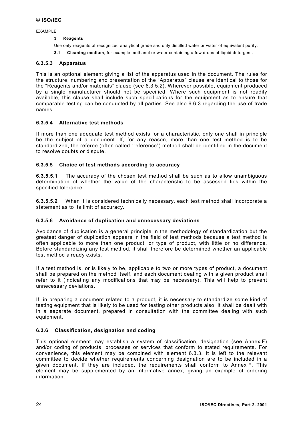<span id="page-23-0"></span>EXAMPLE

#### **3 Reagents**

- Use only reagents of recognized analytical grade and only distilled water or water of equivalent purity.
- **3.1 Cleaning medium**, for example methanol or water containing a few drops of liquid detergent.

## **6.3.5.3 Apparatus**

This is an optional element giving a list of the apparatus used in the document. The rules for the structure, numbering and presentation of the "Apparatus" clause are identical to those for the "Reagents and/or materials" clause (see [6.3.5.2\)](#page-22-0). Wherever possible, equipment produced by a single manufacturer should not be specified. Where such equipment is not readily available, this clause shall include such specifications for the equipment as to ensure that comparable testing can be conducted by all parties. See also [6.6.3](#page-27-0) regarding the use of trade names.

## **6.3.5.4 Alternative test methods**

If more than one adequate test method exists for a characteristic, only one shall in principle be the subject of a document. If, for any reason, more than one test method is to be standardized, the referee (often called "reference") method shall be identified in the document to resolve doubts or dispute.

## **6.3.5.5 Choice of test methods according to accuracy**

**6.3.5.5.1** The accuracy of the chosen test method shall be such as to allow unambiguous determination of whether the value of the characteristic to be assessed lies within the specified tolerance.

**6.3.5.5.2** When it is considered technically necessary, each test method shall incorporate a statement as to its limit of accuracy.

#### **6.3.5.6 Avoidance of duplication and unnecessary deviations**

Avoidance of duplication is a general principle in the methodology of standardization but the greatest danger of duplication appears in the field of test methods because a test method is often applicable to more than one product, or type of product, with little or no difference. Before standardizing any test method, it shall therefore be determined whether an applicable test method already exists.

If a test method is, or is likely to be, applicable to two or more types of product, a document shall be prepared on the method itself, and each document dealing with a given product shall refer to it (indicating any modifications that may be necessary). This will help to prevent unnecessary deviations.

If, in preparing a document related to a product, it is necessary to standardize some kind of testing equipment that is likely to be used for testing other products also, it shall be dealt with in a separate document, prepared in consultation with the committee dealing with such equipment.

#### **6.3.6 Classification, designation and coding**

This optional element may establish a system of classification, designation (see [Annex F\)](#page-54-0) and/or coding of products, processes or services that conform to stated requirements. For convenience, this element may be combined with element [6.3.3.](#page-20-0) It is left to the relevant committee to decide whether requirements concerning designation are to be included in a given document. If they are included, the requirements shall conform to [Annex F.](#page-54-0) This element may be supplemented by an informative annex, giving an example of ordering information.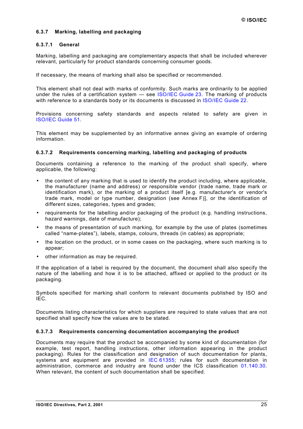## <span id="page-24-0"></span>**6.3.7 Marking, labelling and packaging**

#### **6.3.7.1 General**

Marking, labelling and packaging are complementary aspects that shall be included wherever relevant, particularly for product standards concerning consumer goods.

If necessary, the means of marking shall also be specified or recommended.

This element shall not deal with marks of conformity. Such marks are ordinarily to be applied under the rules of a certification system - see [ISO/IEC Guide 23.](http://www.iso.ch/iso/en/StandardsQueryFormHandler.StandardsQueryFormHandler?keyword=&lastSearch=false&isoNumber=23&isoPartNumber=&ICS=&stageCode=&stageDate=&committee=ALL&subcommittee=&scope=CATALOGUE&sortOrder=ISO) The marking of products with reference to a standards body or its documents is discussed in [ISO/IEC Guide 22.](http://www.iso.ch/iso/en/StandardsQueryFormHandler.StandardsQueryFormHandler?keyword=&lastSearch=false&isoNumber=22&isoPartNumber=&ICS=&stageCode=&stageDate=&committee=ALL&subcommittee=&scope=CATALOGUE&sortOrder=ISO)

Provisions concerning safety standards and aspects related to safety are given in [ISO/IEC Guide 51.](http://www.iso.ch/iso/en/StandardsQueryFormHandler.StandardsQueryFormHandler?keyword=&lastSearch=false&isoNumber=51&isoPartNumber=&ICS=&stageCode=&stageDate=&committee=ALL&subcommittee=&scope=CATALOGUE&sortOrder=ISO)

This element may be supplemented by an informative annex giving an example of ordering information.

#### **6.3.7.2 Requirements concerning marking, labelling and packaging of products**

Documents containing a reference to the marking of the product shall specify, where applicable, the following:

- the content of any marking that is used to identify the product including, where applicable, the manufacturer (name and address) or responsible vendor (trade name, trade mark or identification mark), or the marking of a product itself [e.g. manufacturer's or vendor's trade mark, model or type number, designation (see [Annex F\)](#page-54-0)], or the identification of different sizes, categories, types and grades;
- requirements for the labelling and/or packaging of the product (e.g. handling instructions, hazard warnings, date of manufacture);
- the means of presentation of such marking, for example by the use of plates (sometimes called "name-plates"), labels, stamps, colours, threads (in cables) as appropriate;
- the location on the product, or in some cases on the packaging, where such marking is to appear;
- other information as may be required.

If the application of a label is required by the document, the document shall also specify the nature of the labelling and how it is to be attached, affixed or applied to the product or its packaging.

Symbols specified for marking shall conform to relevant documents published by ISO and IEC.

Documents listing characteristics for which suppliers are required to state values that are not specified shall specify how the values are to be stated.

#### **6.3.7.3 Requirements concerning documentation accompanying the product**

Documents may require that the product be accompanied by some kind of documentation (for example, test report, handling instructions, other information appearing in the product packaging). Rules for the classification and designation of such documentation for plants, systems and equipment are provided in [IEC 61355;](http://www.iec.ch/cgi-bin/procgi.pl/www/iecwww.p?wwwlang=E&wwwprog=sea22.p&search=iecnumber&header=IEC&pubno=61355&part=&se=&number=&searchfor=&ics=) rules for such documentation in administration, commerce and industry are found under the ICS classification [01.140.30.](http://www.iso.ch/cate/0114030.html) When relevant, the content of such documentation shall be specified.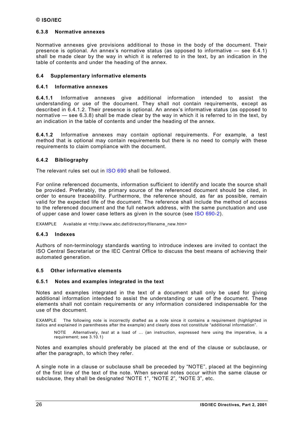## <span id="page-25-0"></span>**6.3.8 Normative annexes**

Normative annexes give provisions additional to those in the body of the document. Their presence is optional. An annex's normative status (as opposed to informative — see 6.4.1) shall be made clear by the way in which it is referred to in the text, by an indication in the table of contents and under the heading of the annex.

## **6.4 Supplementary informative elements**

## **6.4.1 Informative annexes**

**6.4.1.1** Informative annexes give additional information intended to assist the understanding or use of the document. They shall not contain requirements, except as described in 6.4.1.2. Their presence is optional. An annex's informative status (as opposed to normative — see 6.3.8) shall be made clear by the way in which it is referred to in the text, by an indication in the table of contents and under the heading of the annex.

**6.4.1.2** Informative annexes may contain optional requirements. For example, a test method that is optional may contain requirements but there is no need to comply with these requirements to claim compliance with the document.

## **6.4.2 Bibliography**

The relevant rules set out in [ISO 690 s](http://isotc.iso.ch/livelink/livelink?func=ll&objId=1012703&objAction=browse&sort=-modifydate/en)hall be followed.

For online referenced documents, information sufficient to identify and locate the source shall be provided. Preferably, the primary source of the referenced document should be cited, in order to ensure traceability. Furthermore, the reference should, as far as possible, remain valid for the expected life of the document. The reference shall include the method of access to the referenced document and the full network address, with the same punctuation and use of upper case and lower case letters as given in the source (see [ISO 690-2\).](http://isotc.iso.ch/livelink/livelink?func=ll&objId=1012703&objAction=browse&sort=-modifydate/en)

EXAMPLE Available at <http://www.abc.def/directory/filename\_new.htm>

#### **6.4.3 Indexes**

Authors of non-terminology standards wanting to introduce indexes are invited to contact the ISO Central Secretariat or the IEC Central Office to discuss the best means of achieving their automated generation.

#### **6.5 Other informative elements**

#### **6.5.1 Notes and examples integrated in the text**

Notes and examples integrated in the text of a document shall only be used for giving additional information intended to assist the understanding or use of the document. These elements shall not contain requirements or any information considered indispensable for the use of the document.

EXAMPLE The following note is incorrectly drafted as a note since it contains a requirement (highlighted in italics and explained in parentheses after the example) and clearly does not constitute "additional information".

NOTE Alternatively, *test* at a load of … (an instruction, expressed here using the imperative, is a requirement; see [3.10.1\)](#page-10-0)

Notes and examples should preferably be placed at the end of the clause or subclause, or after the paragraph, to which they refer.

A single note in a clause or subclause shall be preceded by "NOTE", placed at the beginning of the first line of the text of the note. When several notes occur within the same clause or subclause, they shall be designated "NOTE 1", "NOTE 2", "NOTE 3", etc.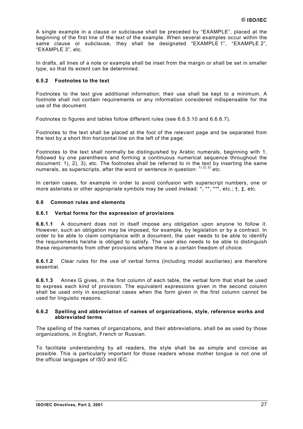<span id="page-26-0"></span>A single example in a clause or subclause shall be preceded by "EXAMPLE", placed at the beginning of the first line of the text of the example. When several examples occur within the same clause or subclause, they shall be designated "EXAMPLE 1", "EXAMPLE 2", "EXAMPLE 3", etc.

In drafts, all lines of a note or example shall be inset from the margin or shall be set in smaller type, so that its extent can be determined.

## **6.5.2 Footnotes to the text**

Footnotes to the text give additional information; their use shall be kept to a minimum. A footnote shall not contain requirements or any information considered indispensable for the use of the document.

Footnotes to figures and tables follow different rules (see [6.6.5.10](#page-31-0) and [6.6.6.7\)](#page-33-0).

Footnotes to the text shall be placed at the foot of the relevant page and be separated from the text by a short thin horizontal line on the left of the page.

Footnotes to the text shall normally be distinguished by Arabic numerals, beginning with 1, followed by one parenthesis and forming a continuous numerical sequence throughout the document: 1), 2), 3), etc. The footnotes shall be referred to in the text by inserting the same numerals, as superscripts, after the word or sentence in question:  $(1)$  2) 3) etc.

In certain cases, for example in order to avoid confusion with superscript numbers, one or more asterisks or other appropriate symbols may be used instead: \*, \*\*, \*\*\*, etc.; †, ‡, etc.

#### **6.6 Common rules and elements**

#### **6.6.1 Verbal forms for the expression of provisions**

**6.6.1.1** A document does not in itself impose any obligation upon anyone to follow it. However, such an obligation may be imposed, for example, by legislation or by a contract. In order to be able to claim compliance with a document, the user needs to be able to identify the requirements he/she is obliged to satisfy. The user also needs to be able to distinguish these requirements from other provisions where there is a certain freedom of choice.

**6.6.1.2** Clear rules for the use of verbal forms (including modal auxiliaries) are therefore essential.

**6.6.1.3** [Annex G g](#page-60-0)ives, in the first column of each table, the verbal form that shall be used to express each kind of provision. The equivalent expressions given in the second column shall be used only in exceptional cases when the form given in the first column cannot be used for linguistic reasons.

#### **6.6.2 Spelling and abbreviation of names of organizations, style, reference works and abbreviated terms**

The spelling of the names of organizations, and their abbreviations, shall be as used by those organizations, in English, French or Russian.

To facilitate understanding by all readers, the style shall be as simple and concise as possible. This is particularly important for those readers whose mother tongue is not one of the official languages of ISO and IEC.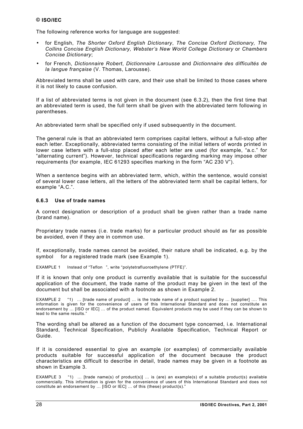<span id="page-27-0"></span>The following reference works for language are suggested:

- for English, *The Shorter Oxford English Dictionary*, *The Concise Oxford Dictionary, The Collins Concise English Dictionary, Webster's New World College Dictionary* or *Chambers Concise Dictionary*;
- for French, *Dictionnaire Robert*, *Dictionnaire Larousse* and *Dictionnaire des difficultés de la langue française* (V. Thomas, Larousse).

Abbreviated terms shall be used with care, and their use shall be limited to those cases where it is not likely to cause confusion.

If a list of abbreviated terms is not given in the document (see [6.3.2\)](#page-20-0), then the first time that an abbreviated term is used, the full term shall be given with the abbreviated term following in parentheses.

An abbreviated term shall be specified only if used subsequently in the document.

The general rule is that an abbreviated term comprises capital letters, without a full-stop after each letter. Exceptionally, abbreviated terms consisting of the initial letters of words printed in lower case letters with a full-stop placed after each letter are used (for example, "a.c." for "alternating current"). However, technical specifications regarding marking may impose other requirements (for example, IEC 61293 specifies marking in the form "AC 230 V").

When a sentence begins with an abbreviated term, which, within the sentence, would consist of several lower case letters, all the letters of the abbreviated term shall be capital letters, for example "A.C.".

#### **6.6.3 Use of trade names**

A correct designation or description of a product shall be given rather than a trade name (brand name).

Proprietary trade names (i.e. trade marks) for a particular product should as far as possible be avoided, even if they are in common use.

If, exceptionally, trade names cannot be avoided, their nature shall be indicated, e.g. by the symbol  $\otimes$  for a registered trade mark (see Example 1).

EXAMPLE 1 Instead of "Teflon®", write "polytetrafluoroethylene (PTFE)".

If it is known that only one product is currently available that is suitable for the successful application of the document, the trade name of the product may be given in the text of the document but shall be associated with a footnote as shown in Example 2.

EXAMPLE 2 "1) … [trade name of product] … is the trade name of a product supplied by … [supplier] …. This information is given for the convenience of users of this International Standard and does not constitute an endorsement by … [ISO or IEC] … of the product named. Equivalent products may be used if they can be shown to lead to the same results."

The wording shall be altered as a function of the document type concerned, i.e. International Standard, Technical Specification, Publicly Available Specification, Technical Report or Guide.

If it is considered essential to give an example (or examples) of commercially available products suitable for successful application of the document because the product characteristics are difficult to describe in detail, trade names may be given in a footnote as shown in Example 3.

EXAMPLE 3 "1) … [trade name(s) of product(s)] … is (are) an example(s) of a suitable product(s) available commercially. This information is given for the convenience of users of this International Standard and does not constitute an endorsement by ... [ISO or IEC] ... of this (these) product(s)."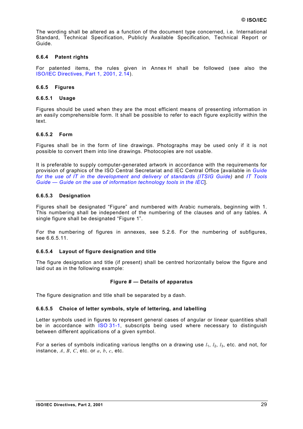<span id="page-28-0"></span>The wording shall be altered as a function of the document type concerned, i.e. International Standard, Technical Specification, Publicly Available Specification, Technical Report or Guide.

## **6.6.4 Patent rights**

For patented items, the rules given in [Annex H](#page-62-0) shall be followed (see also the [ISO/IEC Directives, Part 1, 2001, 2.14\).](http://isotc.iso.ch/livelink/livelink?func=ll&objId=650757&objAction=browse&sort=-modifydate/en)

## **6.6.5 Figures**

#### **6.6.5.1 Usage**

Figures should be used when they are the most efficient means of presenting information in an easily comprehensible form. It shall be possible to refer to each figure explicitly within the text.

#### **6.6.5.2 Form**

Figures shall be in the form of line drawings. Photographs may be used only if it is not possible to convert them into line drawings. Photocopies are not usable.

It is preferable to supply computer-generated artwork in accordance with the requirements for provision of graphics of the ISO Central Secretariat and IEC Central Office [available in *[Guide](http://www.iso.ch/itsig-guide) [for the use of IT in the development and delivery of standards \(ITSIG Guide\)](http://www.iso.ch/itsig-guide)* and *[IT Tools](http://www.iec.ch/contents.htm) [Guide — Guide on the use of information technology tools in the IEC](http://www.iec.ch/contents.htm)*].

#### **6.6.5.3 Designation**

Figures shall be designated "Figure" and numbered with Arabic numerals, beginning with 1. This numbering shall be independent of the numbering of the clauses and of any tables. A single figure shall be designated "Figure 1".

For the numbering of figures in annexes, see [5.2.6.](#page-17-0) For the numbering of subfigures, see [6.6.5.11.](#page-31-0)

#### **6.6.5.4 Layout of figure designation and title**

The figure designation and title (if present) shall be centred horizontally below the figure and laid out as in the following example:

#### **Figure # — Details of apparatus**

The figure designation and title shall be separated by a dash.

#### **6.6.5.5 Choice of letter symbols, style of lettering, and labelling**

Letter symbols used in figures to represent general cases of angular or linear quantities shall be in accordance with [ISO 31-1,](http://isotc.iso.ch/livelink/livelink?func=ll&objId=1012703&objAction=browse&sort=-modifydate/en) subscripts being used where necessary to distinguish between different applications of a given symbol.

For a series of symbols indicating various lengths on a drawing use  $l_1$ ,  $l_2$ ,  $l_3$ , etc. and not, for instance, *A*, *B*, *C*, etc. or *a*, *b*, *c*, etc.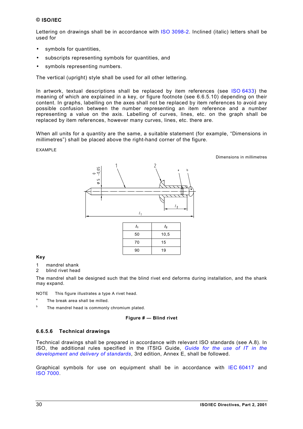<span id="page-29-0"></span>Lettering on drawings shall be in accordance with [ISO 3098-2.](http://isotc.iso.ch/livelink/livelink?func=ll&objId=1012703&objAction=browse&sort=-modifydate/en) Inclined (italic) letters shall be used for

- symbols for quantities,
- subscripts representing symbols for quantities, and
- symbols representing numbers.

The vertical (upright) style shall be used for all other lettering.

In artwork, textual descriptions shall be replaced by item references (see [ISO 6433\)](http://isotc.iso.ch/livelink/livelink?func=ll&objId=1012703&objAction=browse&sort=-modifydate/en) the meaning of which are explained in a key, or figure footnote (see [6.6.5.10\)](#page-31-0) depending on their content. In graphs, labelling on the axes shall not be replaced by item references to avoid any possible confusion between the number representing an item reference and a number representing a value on the axis. Labelling of curves, lines, etc. on the graph shall be replaced by item references, however many curves, lines, etc. there are.

When all units for a quantity are the same, a suitable statement (for example, "Dimensions in millimetres") shall be placed above the right-hand corner of the figure.

#### EXAMPLE

Dimensions in millimetres



#### **Key**

- 1 mandrel shank
- 2 blind rivet head

The mandrel shall be designed such that the blind rivet end deforms during installation, and the shank may expand.

NOTE This figure illustrates a type A rivet head.

- <sup>a</sup> The break area shall be milled.
- $b$  The mandrel head is commonly chromium plated.

#### **Figure # — Blind rivet**

#### **6.6.5.6 Technical drawings**

Technical drawings shall be prepared in accordance with relevant ISO standards (see [A.8\)](#page-43-0). In ISO, the additional rules specified in the ITSIG Guide, *[Guide for the use of IT in the](http://www.iso.ch/itsig-guide) [development and delivery of standards](http://www.iso.ch/itsig-guide)*, 3rd edition, Annex E, shall be followed.

Graphical symbols for use on equipment shall be in accordance with [IEC 60417](http://www.iec.ch/cgi-bin/procgi.pl/www/iecwww.p?wwwlang=E&wwwprog=sea22.p&search=iecnumber&header=IEC&pubno=60417&part=&se=&number=&searchfor=&ics=) and [ISO 7000.](http://isotc.iso.ch/livelink/livelink?func=ll&objId=1012703&objAction=browse&sort=-modifydate/en)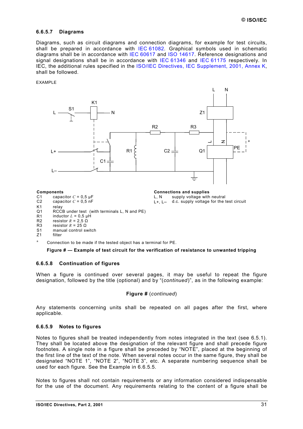#### <span id="page-30-0"></span>**6.6.5.7 Diagrams**

Diagrams, such as circuit diagrams and connection diagrams, for example for test circuits, shall be prepared in accordance with [IEC 61082.](http://www.iec.ch/cgi-bin/procgi.pl/www/iecwww.p?wwwlang=E&wwwprog=sea22.p&search=iecnumber&header=IEC&pubno=61082&part=&se=&number=&searchfor=&ics=) Graphical symbols used in schematic diagrams shall be in accordance with [IEC 60617](http://www.iec.ch/cgi-bin/procgi.pl/www/iecwww.p?wwwlang=E&wwwprog=sea22.p&search=iecnumber&header=IEC&pubno=60617&part=&se=&number=&searchfor=&ics=) and [ISO 14617.](http://isotc.iso.ch/livelink/livelink?func=ll&objId=1012703&objAction=browse&sort=-modifydate/en) Reference designations and signal designations shall be in accordance with [IEC 61346](http://www.iec.ch/cgi-bin/procgi.pl/www/iecwww.p?wwwlang=E&wwwprog=sea22.p&search=iecnumber&header=IEC&pubno=61346&part=&se=&number=&searchfor=&ics=) and [IEC 61175](http://www.iec.ch/cgi-bin/procgi.pl/www/iecwww.p?wwwlang=E&wwwprog=sea22.p&search=iecnumber&header=IEC&pubno=61175&part=&se=&number=&searchfor=&ics=) respectively. In IEC, the additional rules specified in the [ISO/IEC Directives, IEC Supplement, 2001, Annex K,](http://www.iec.ch/pub/directives/Directives-IECSup-Ed1.pdf) shall be followed.

#### EXAMPLE



- 
- R2 resistor  $R = 2,5$   $\Omega$ <br>R3 resistor  $R = 25$  O
- R3 resistor  $R = 25 Ω$ <br>S1 manual control sy manual control switch
- Z1 filter
- <sup>a</sup> Connection to be made if the tested object has a terminal for PE.

**Figure # — Example of test circuit for the verification of resistance to unwanted tripping**

#### **6.6.5.8 Continuation of figures**

When a figure is continued over several pages, it may be useful to repeat the figure designation, followed by the title (optional) and by "(*continued*)", as in the following example:

#### **Figure #** (*continued*)

Any statements concerning units shall be repeated on all pages after the first, where applicable.

#### **6.6.5.9 Notes to figures**

Notes to figures shall be treated independently from notes integrated in the text (see [6.5.1\)](#page-25-0). They shall be located above the designation of the relevant figure and shall precede figure footnotes. A single note in a figure shall be preceded by "NOTE", placed at the beginning of the first line of the text of the note. When several notes occur in the same figure, they shall be designated "NOTE 1", "NOTE 2", "NOTE 3", etc. A separate numbering sequence shall be used for each figure. See the Example in [6.6.5.5.](#page-28-0)

Notes to figures shall not contain requirements or any information considered indispensable for the use of the document. Any requirements relating to the content of a figure shall be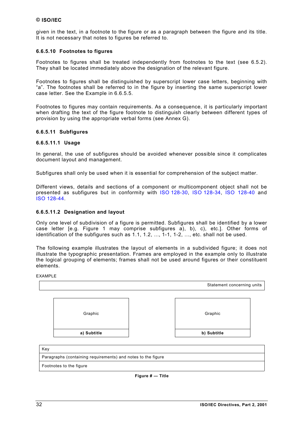<span id="page-31-0"></span>given in the text, in a footnote to the figure or as a paragraph between the figure and its title. It is not necessary that notes to figures be referred to.

### **6.6.5.10 Footnotes to figures**

Footnotes to figures shall be treated independently from footnotes to the text (see [6.5.2\)](#page-26-0). They shall be located immediately above the designation of the relevant figure.

Footnotes to figures shall be distinguished by superscript lower case letters, beginning with "a". The footnotes shall be referred to in the figure by inserting the same superscript lower case letter. See the Example in [6.6.5.5.](#page-28-0)

Footnotes to figures may contain requirements. As a consequence, it is particularly important when drafting the text of the figure footnote to distinguish clearly between different types of provision by using the appropriate verbal forms (see [Annex G\)](#page-60-0).

## **6.6.5.11 Subfigures**

#### **6.6.5.11.1 Usage**

In general, the use of subfigures should be avoided whenever possible since it complicates document layout and management.

Subfigures shall only be used when it is essential for comprehension of the subject matter.

Different views, details and sections of a component or multicomponent object shall not be presented as subfigures but in conformity with [ISO 128-30,](http://isotc.iso.ch/livelink/livelink?func=ll&objId=1012703&objAction=browse&sort=-modifydate/en) [ISO 128-34,](http://isotc.iso.ch/livelink/livelink?func=ll&objId=1012703&objAction=browse&sort=-modifydate/en) [ISO 128-40](http://isotc.iso.ch/livelink/livelink?func=ll&objId=1012703&objAction=browse&sort=-modifydate/en) and [ISO 128-44.](http://isotc.iso.ch/livelink/livelink?func=ll&objId=1012703&objAction=browse&sort=-modifydate/en)

## **6.6.5.11.2 Designation and layout**

Only one level of subdivision of a figure is permitted. Subfigures shall be identified by a lower case letter [e.g. Figure 1 may comprise subfigures a), b), c), etc.]. Other forms of identification of the subfigures such as 1.1, 1.2, ..., 1-1, 1-2, ..., etc. shall not be used.

The following example illustrates the layout of elements in a subdivided figure; it does not illustrate the typographic presentation. Frames are employed in the example only to illustrate the logical grouping of elements; frames shall not be used around figures or their constituent elements.

EXAMPLE



| Paragraphs (containing requirements) and notes to the figure |  |
|--------------------------------------------------------------|--|
|                                                              |  |

Footnotes to the figure

**Figure # — Title**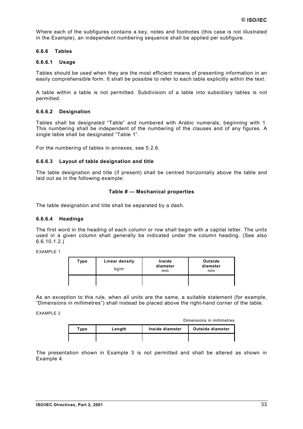Where each of the subfigures contains a key, notes and footnotes (this case is not illustrated in the Example), an independent numbering sequence shall be applied per subfigure.

### **6.6.6 Tables**

## **6.6.6.1 Usage**

Tables should be used when they are the most efficient means of presenting information in an easily comprehensible form. It shall be possible to refer to each table explicitly within the text.

A table within a table is not permitted. Subdivision of a table into subsidiary tables is not permitted.

#### **6.6.6.2 Designation**

Tables shall be designated "Table" and numbered with Arabic numerals, beginning with 1. This numbering shall be independent of the numbering of the clauses and of any figures. A single table shall be designated "Table 1".

For the numbering of tables in annexes, see [5.2.6.](#page-17-0)

#### **6.6.6.3 Layout of table designation and title**

The table designation and title (if present) shall be centred horizontally above the table and laid out as in the following example:

#### **Table # — Mechanical properties**

The table designation and title shall be separated by a dash.

#### **6.6.6.4 Headings**

The first word in the heading of each column or row shall begin with a capital letter. The units used in a given column shall generally be indicated under the column heading. (See also [6.6.10.1.](#page-36-0)2.)

EXAMPLE 1

| Type | Linear density<br>kg/m | <b>Inside</b><br>diameter<br>mm | Outside<br>diameter<br>mm |
|------|------------------------|---------------------------------|---------------------------|
|      |                        |                                 |                           |

As an exception to this rule, when all units are the same, a suitable statement (for example, "Dimensions in millimetres") shall instead be placed above the right-hand corner of the table.

EXAMPLE 2

Dimensions in millimetres

| Type | Length | Inside diameter | Outside diameter |
|------|--------|-----------------|------------------|
|      |        |                 |                  |

The presentation shown in Example 3 is not permitted and shall be altered as shown in Example 4.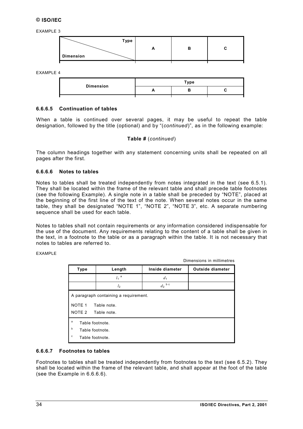<span id="page-33-0"></span>EXAMPLE 3

| Type             |  |  |
|------------------|--|--|
|                  |  |  |
| <b>Dimension</b> |  |  |

EXAMPLE 4

| <b>Dimension</b> | Type |  |  |  |
|------------------|------|--|--|--|
|                  |      |  |  |  |

#### **6.6.6.5 Continuation of tables**

When a table is continued over several pages, it may be useful to repeat the table designation, followed by the title (optional) and by "(*continued*)", as in the following example:

#### **Table #** (*continued*)

The column headings together with any statement concerning units shall be repeated on all pages after the first.

#### **6.6.6.6 Notes to tables**

Notes to tables shall be treated independently from notes integrated in the text (see [6.5.1\)](#page-25-0). They shall be located within the frame of the relevant table and shall precede table footnotes (see the following Example). A single note in a table shall be preceded by "NOTE", placed at the beginning of the first line of the text of the note. When several notes occur in the same table, they shall be designated "NOTE 1", "NOTE 2", "NOTE 3", etc. A separate numbering sequence shall be used for each table.

Notes to tables shall not contain requirements or any information considered indispensable for the use of the document. Any requirements relating to the content of a table shall be given in the text, in a footnote to the table or as a paragraph within the table. It is not necessary that notes to tables are referred to.

EXAMPLE

Dimensions in millimetres

| <b>Type</b>                                                               | Length             | Inside diameter | <b>Outside diameter</b> |  |
|---------------------------------------------------------------------------|--------------------|-----------------|-------------------------|--|
|                                                                           | $l_1$ <sup>a</sup> | d <sub>1</sub>  |                         |  |
|                                                                           | l <sub>2</sub>     | $d_2$ b c       |                         |  |
| A paragraph containing a requirement.<br>NOTE <sub>1</sub><br>Table note. |                    |                 |                         |  |
| NOTE 2                                                                    | Table note.        |                 |                         |  |
| a<br>Table footnote.<br>b<br>Table footnote.<br>c<br>Table footnote.      |                    |                 |                         |  |

#### **6.6.6.7 Footnotes to tables**

Footnotes to tables shall be treated independently from footnotes to the text (see [6.5.2\)](#page-26-0). They shall be located within the frame of the relevant table, and shall appear at the foot of the table (see the Example in 6.6.6.6).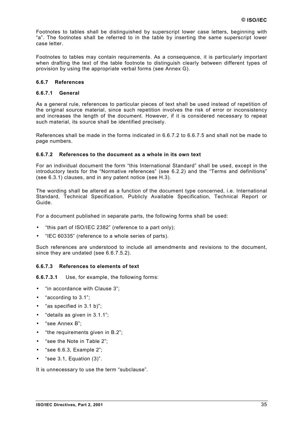<span id="page-34-0"></span>Footnotes to tables shall be distinguished by superscript lower case letters, beginning with "a". The footnotes shall be referred to in the table by inserting the same superscript lower case letter.

Footnotes to tables may contain requirements. As a consequence, it is particularly important when drafting the text of the table footnote to distinguish clearly between different types of provision by using the appropriate verbal forms (see [Annex G\)](#page-60-0).

## **6.6.7 References**

#### **6.6.7.1 General**

As a general rule, references to particular pieces of text shall be used instead of repetition of the original source material, since such repetition involves the risk of error or inconsistency and increases the length of the document. However, if it is considered necessary to repeat such material, its source shall be identified precisely.

References shall be made in the forms indicated in 6.6.7.2 to [6.6.7.5](#page-35-0) and shall not be made to page numbers.

#### **6.6.7.2 References to the document as a whole in its own text**

For an individual document the form "this International Standard" shall be used, except in the introductory texts for the "Normative references" (see [6.2.2\)](#page-19-0) and the "Terms and definitions" (see [6.3.1\)](#page-20-0) clauses, and in any patent notice (see [H.3\)](#page-62-0).

The wording shall be altered as a function of the document type concerned, i.e. International Standard, Technical Specification, Publicly Available Specification, Technical Report or Guide.

For a document published in separate parts, the following forms shall be used:

- "this part of ISO/IEC 2382" (reference to a part only);
- "IEC 60335" (reference to a whole series of parts).

Such references are understood to include all amendments and revisions to the document, since they are undated (see [6.6.7.5.2\)](#page-35-0).

#### **6.6.7.3 References to elements of text**

**6.6.7.3.1** Use, for example, the following forms:

- "in accordance with Clause 3":
- "according to 3.1";
- "as specified in 3.1 b)";
- "details as given in 3.1.1";
- "see Annex B";
- "the requirements given in B.2";
- "see the Note in Table 2";
- "see 6.6.3, Example 2";
- "see  $3.1$ , Equation  $(3)$ ".

It is unnecessary to use the term "subclause".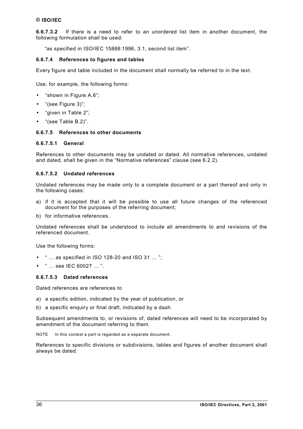<span id="page-35-0"></span>**[6.6.7.3.](#page-34-0)2** If there is a need to refer to an unordered list item in another document, the following formulation shall be used:

"as specified in ISO/IEC 15888:1996, 3.1, second list item".

#### **6.6.7.4 References to figures and tables**

Every figure and table included in the document shall normally be referred to in the text.

Use, for example, the following forms:

- "shown in Figure A.6";
- "(see Figure 3)";
- "given in Table 2";
- "(see Table B.2)".

## **6.6.7.5 References to other documents**

#### **6.6.7.5.1 General**

References to other documents may be undated or dated. All normative references, undated and dated, shall be given in the "Normative references" clause (see [6.2.2\)](#page-19-0).

#### **6.6.7.5.2 Undated references**

Undated references may be made only to a complete document or a part thereof and only in the following cases:

- a) if it is accepted that it will be possible to use all future changes of the referenced document for the purposes of the referring document;
- b) for informative references.

Undated references shall be understood to include all amendments to and revisions of the referenced document.

Use the following forms:

- " … as specified in ISO 128-20 and ISO 31 … ";
- " … see IEC 60027 … ".

## **6.6.7.5.3 Dated references**

Dated references are references to

- a) a specific edition, indicated by the year of publication, or
- b) a specific enquiry or final draft, indicated by a dash.

Subsequent amendments to, or revisions of, dated references will need to be incorporated by amendment of the document referring to them.

NOTE In this context a part is regarded as a separate document.

References to specific divisions or subdivisions, tables and figures of another document shall always be dated.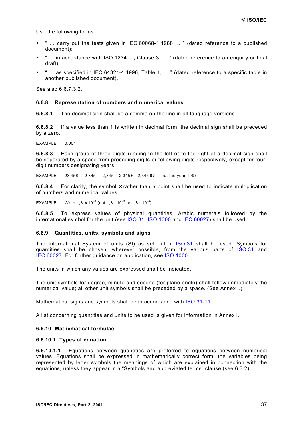<span id="page-36-0"></span>Use the following forms:

- " … carry out the tests given in IEC 60068-1:1988 … " (dated reference to a published document);
- $\degree$  ... in accordance with ISO 1234:—, Clause 3, ... " (dated reference to an enquiry or final draft);
- " … as specified in IEC 64321-4:1996, Table 1, … " (dated reference to a specific table in another published document).

See also [6.6.7.3.](#page-34-0)2.

#### **6.6.8 Representation of numbers and numerical values**

**6.6.8.1** The decimal sign shall be a comma on the line in all language versions.

**6.6.8.2** If a value less than 1 is written in decimal form, the decimal sign shall be preceded by a zero.

EXAMPLE 0,001

**6.6.8.3** Each group of three digits reading to the left or to the right of a decimal sign shall be separated by a space from preceding digits or following digits respectively, except for fourdigit numbers designating years.

EXAMPLE 23 456 2 345 2,345 2,345 6 2,345 67 but the year 1997

**6.6.8.4** For clarity, the symbol  $\times$  rather than a point shall be used to indicate multiplication of numbers and numerical values.

EXAMPLE Write 1,8  $\times$  10<sup>-3</sup> (not 1,8 . 10<sup>-3</sup> or 1,8  $\cdot$  10<sup>-3</sup>)

**6.6.8.5** To express values of physical quantities, Arabic numerals followed by the international symbol for the unit (see [ISO 31,](http://isotc.iso.ch/livelink/livelink?func=ll&objId=1012703&objAction=browse&sort=-modifydate/en) I[SO 1000 a](http://isotc.iso.ch/livelink/livelink?func=ll&objId=1012703&objAction=browse&sort=-modifydate/en)nd [IEC 60027\)](http://www.iec.ch/cgi-bin/procgi.pl/www/iecwww.p?wwwlang=E&wwwprog=sea22.p&search=iecnumber&header=IEC&pubno=60027&part=&se=&number=&searchfor=&ics=) shall be used.

#### **6.6.9 Quantities, units, symbols and signs**

The International System of units (SI) as set out in [ISO 31](http://isotc.iso.ch/livelink/livelink?func=ll&objId=1012703&objAction=browse&sort=-modifydate/en) shall be used. Symbols for quantities shall be chosen, wherever possible, from the various parts of [ISO 31](http://www.iso.ch/isob/switch-engine-cate.pl?searchtype=refnumber&KEYWORDS=31) and [IEC 60027.](http://www.iec.ch/cgi-bin/procgi.pl/www/iecwww.p?wwwlang=E&wwwprog=sea22.p&search=iecnumber&header=IEC&pubno=60027&part=&se=&number=&searchfor=&ics=) For further guidance on application, see [ISO 1000.](http://www.iso.ch/isob/switch-engine-cate.pl?searchtype=refnumber&KEYWORDS=1000)

The units in which any values are expressed shall be indicated.

The unit symbols for degree, minute and second (for plane angle) shall follow immediately the numerical value; all other unit symbols shall be preceded by a space. (See [Annex I.\)](#page-63-0)

Mathematical signs and symbols shall be in accordance with [ISO 31-11.](http://isotc.iso.ch/livelink/livelink?func=ll&objId=1012703&objAction=browse&sort=-modifydate/en)

A list concerning quantities and units to be used is given for information in [Annex I.](#page-63-0)

#### **6.6.10 Mathematical formulae**

#### **6.6.10.1 Types of equation**

**6.6.10.1.1** Equations between quantities are preferred to equations between numerical values. Equations shall be expressed in mathematically correct form, the variables being represented by letter symbols the meanings of which are explained in connection with the equations, unless they appear in a "Symbols and abbreviated terms" clause (see [6.3.2\)](#page-20-0).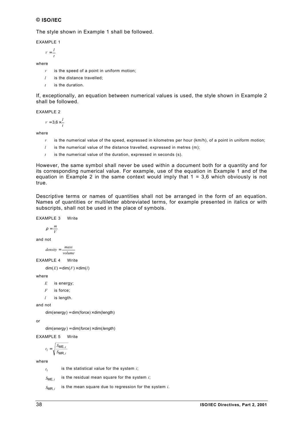The style shown in Example 1 shall be followed.

EXAMPLE 1

 $V = \frac{l}{t}$ 

where

- $V$  is the speed of a point in uniform motion;
- *l* is the distance travelled;
- *t* is the duration.

If, exceptionally, an equation between numerical values is used, the style shown in Example 2 shall be followed.

EXAMPLE 2

$$
V = 3.6 \times \frac{l}{t}
$$

where

- $V$  is the numerical value of the speed, expressed in kilometres per hour ( $km/h$ ), of a point in uniform motion;
- *l* is the numerical value of the distance travelled, expressed in metres (m);
- *t* is the numerical value of the duration, expressed in seconds (s).

However, the same symbol shall never be used within a document both for a quantity and for its corresponding numerical value. For example, use of the equation in Example 1 and of the equation in Example 2 in the same context would imply that  $1 = 3.6$  which obviously is not true.

Descriptive terms or names of quantities shall not be arranged in the form of an equation. Names of quantities or multiletter abbreviated terms, for example presented in italics or with subscripts, shall not be used in the place of symbols.

EXAMPLE 3 Write

$$
\rho = \frac{m}{V}
$$

and not

*volume*  $density = \frac{mass}{1}$ 

EXAMPLE 4 Write

 $dim(E) = dim(F) \times dim(l)$ 

where

- *E* is energy;
- *F* is force;
- *l* is length.

and not

 $dim(energy) = dim(force) \times dim(length)$ 

or

dim(*energy* ) = dim(*force*) × dim(*length*)

EXAMPLE 5 Write

$$
t_i = \sqrt{\frac{S_{\text{ME},i}}{S_{\text{MR},i}}}
$$

where

 $t_i$  is the statistical value for the system *i*;

 $S_{MF i}$  is the residual mean square for the system *i*;

 $S_{MR,i}$  is the mean square due to regression for the system *i*.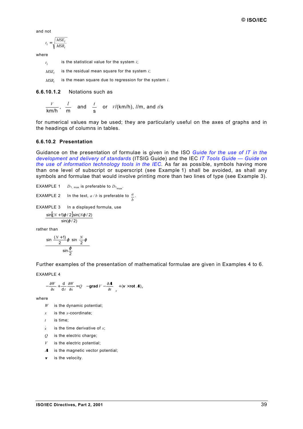and not

$$
t_i = \sqrt{\frac{MSE_i}{MSR_i}}
$$

where

 $t_i$  is the statistical value for the system *i*;

 $MSE_i$  is the residual mean square for the system *i*;

*MSRi* is the mean square due to regression for the system *i*.

**[6.6.10.1.](#page-36-0)2** Notations such as

$$
\frac{V}{km/h}, \frac{l}{m}
$$
 and 
$$
\frac{t}{s}
$$
 or 
$$
V/(km/h), l/m, \text{ and } t/s
$$

for numerical values may be used; they are particularly useful on the axes of graphs and in the headings of columns in tables.

#### **6.6.10.2 Presentation**

Guidance on the presentation of formulae is given in the ISO *[Guide for the use of IT in the](http://www.iso.ch/itsig-guide) [development and delivery of standards](http://www.iso.ch/itsig-guide)* (ITSIG Guide) and the IEC *[IT Tools Guide — Guide on](http://www.iec.ch/contents.htm) [the use of information technology tools in the IEC](http://www.iec.ch/contents.htm)*. As far as possible, symbols having more than one level of subscript or superscript (see Example 1) shall be avoided, as shall any symbols and formulae that would involve printing more than two lines of type (see Example 3).

EXAMPLE 1  $D_{1, \text{max}}$  is preferable to  $D_{1_{\text{max}}}$ .

EXAMPLE 2 In the text,  $a/b$  is preferable to  $\frac{a}{b}$ *b* .

EXAMPLE 3 In a displayed formula, use

$$
\frac{\sin[(N+1)\varphi/2]\sin(N\varphi/2)}{\sin(\varphi/2)}
$$

rather than

$$
\frac{\sin\left[\frac{(N+1)}{2}\varphi\right]\sin\left(\frac{N}{2}\varphi\right)}{\sin\frac{\varphi}{2}}
$$

Further examples of the presentation of mathematical formulae are given in Examples 4 to 6.

EXAMPLE 4

$$
-\frac{\partial W}{\partial x} + \frac{\mathbf{d}}{\mathbf{d}t} \frac{\partial W}{\partial \dot{x}} = Q \bigg[ \bigg( -\mathbf{grad}\, V - \frac{\partial \mathbf{A}}{\partial t} \bigg)_{x} + (\mathbf{v} \times \mathbf{rot}\, \mathbf{A})_{x} \bigg]
$$

where

- *W* is the dynamic potential;
- *x* is the *x*-coordinate;
- *t* is time;
- *x* is the time derivative of  $x^2$
- *Q* is the electric charge;
- *V* is the electric potential;
- **A** is the magnetic vector potential;
- **<sup>v</sup>** is the velocity.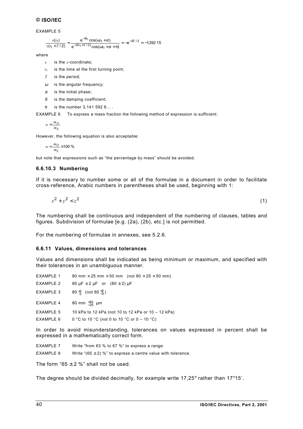EXAMPLE 5

$$
\frac{x(t_1)}{x(t_1+T/2)} = \frac{e^{-\delta t_1} \cos(\omega t_1 + \alpha)}{e^{-\delta (t_1+T/2)} \cos(\omega t_1 + \alpha + \pi)} = -e^{-\delta T/2} \approx -1.392\,15
$$

where

- *x* is the *x*-coordinate;
- $t_1$  is the time at the first turning point;
- *T* is the period;
- $\omega$  is the angular frequency;
- $\alpha$  is the initial phase;
- $\delta$  is the damping coefficient;
- $π$  is the number 3,141 592 6...

EXAMPLE 6 To express a mass fraction the following method of expression is sufficient:

```
S
m
w = \frac{m_D}{m}
```
However, the following equation is also acceptable:

 $w = \frac{m_D}{m} \times 100 \%$ *S m*

but note that expressions such as "the percentage by mass" should be avoided.

#### **6.6.10.3 Numbering**

If it is necessary to number some or all of the formulae in a document in order to facilitate cross-reference, Arabic numbers in parentheses shall be used, beginning with 1:

$$
x^2 + y^2 < z^2 \tag{1}
$$

The numbering shall be continuous and independent of the numbering of clauses, tables and figures. Subdivision of formulae [e.g. (2a), (2b), etc.] is not permitted.

For the numbering of formulae in annexes, see [5.2.6.](#page-17-0)

#### **6.6.11 Values, dimensions and tolerances**

Values and dimensions shall be indicated as being minimum or maximum, and specified with their tolerances in an unambiguous manner.

| 80 mm $\times$ 25 mm $\times$ 50 mm (not 80 $\times$ 25 $\times$ 50 mm) | <b>EXAMPLE 1</b> |  |  |
|-------------------------------------------------------------------------|------------------|--|--|
|-------------------------------------------------------------------------|------------------|--|--|

EXAMPLE 2 80  $\mu$ F  $\pm$  2  $\mu$ F or (80  $\pm$  2)  $\mu$ F

EXAMPLE 3  $_{0}^{+2}$  (not 80  $_{-0}^{+2}$ )

EXAMPLE 4 +50 μm

EXAMPLE 5 10 kPa to 12 kPa (not 10 to 12 kPa or 10 – 12 kPa)

EXAMPLE 6  $0 °C$  to 10  $°C$  (not 0 to 10  $°C$  or 0 – 10  $°C$ )

In order to avoid misunderstanding, tolerances on values expressed in percent shall be expressed in a mathematically correct form.

- EXAMPLE 7 Write "from 63 % to 67 %" to express a range.
- EXAMPLE 8 Write "(65  $\pm$  2) %" to express a centre value with tolerance.

The form "65  $\pm$  2 %" shall not be used.

The degree should be divided decimally, for example write 17,25° rather than 17°15′.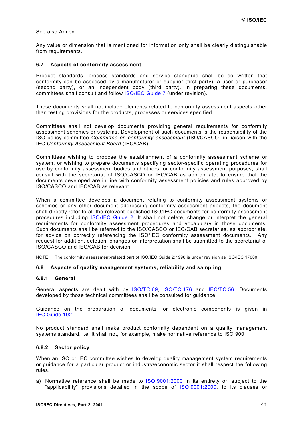<span id="page-40-0"></span>See also [Annex I.](#page-63-0)

Any value or dimension that is mentioned for information only shall be clearly distinguishable from requirements.

#### **6.7 Aspects of conformity assessment**

Product standards, process standards and service standards shall be so written that conformity can be assessed by a manufacturer or supplier (first party), a user or purchaser (second party), or an independent body (third party). In preparing these documents, committees shall consult and follow [ISO/IEC Guide 7](http://isotc.iso.ch/livelink/livelink?func=ll&objId=1012703&objAction=browse&sort=-modifydate/en) (under revision).

These documents shall not include elements related to conformity assessment aspects other than testing provisions for the products, processes or services specified.

Committees shall not develop documents providing general requirements for conformity assessment schemes or systems. Development of such documents is the responsibility of the ISO policy committee *Committee on conformity assessment* (ISO/CASCO) in liaison with the IEC *Conformity Assessment Board* (IEC/CAB).

Committees wishing to propose the establishment of a conformity assessment scheme or system, or wishing to prepare documents specifying sector-specific operating procedures for use by conformity assessment bodies and others for conformity assessment purposes, shall consult with the secretariat of ISO/CASCO or IEC/CAB as appropriate, to ensure that the documents developed are in line with conformity assessment policies and rules approved by ISO/CASCO and IEC/CAB as relevant.

When a committee develops a document relating to conformity assessment systems or schemes or any other document addressing conformity assessment aspects, the document shall directly refer to all the relevant published ISO/IEC documents for conformity assessment procedures including [ISO/IEC Guide 2.](http://isotc.iso.ch/livelink/livelink?func=ll&objId=1012703&objAction=browse&sort=-modifydate/en) It shall not delete, change or interpret the general requirements for conformity assessment procedures and vocabulary in those documents. Such documents shall be referred to the ISO/CASCO or IEC/CAB secretaries, as appropriate, for advice on correctly referencing the ISO/IEC conformity assessment documents. Any request for addition, deletion, changes or interpretation shall be submitted to the secretariat of ISO/CASCO and IEC/CAB for decision.

NOTE The conformity assessment-related part of ISO/IEC Guide 2:1996 is under revision as ISO/IEC 17000.

#### **6.8 Aspects of quality management systems, reliability and sampling**

#### **6.8.1 General**

General aspects are dealt with by [ISO/TC 69,](http://www.iso.ch/iso/en/prods-services/catalogue/intstandards/StandardsQueryFormHandler.StandardsQueryFormHandler?keyword=&isoNumber=&isoPartNumber=&ICS=&stageCode=&stageDate=&committee=2227&subcommittee=&scope=CATALOGUE&sortOrder=ISO) [ISO/TC 176](http://www.iso.ch/iso/en/prods-services/catalogue/intstandards/StandardsQueryFormHandler.StandardsQueryFormHandler?keyword=&isoNumber=&isoPartNumber=&ICS=&stageCode=&stageDate=&committee=4163&subcommittee=&scope=CATALOGUE&sortOrder=ISO) and [IEC/TC 56.](http://www.iec.ch/cgi-bin/procgi.pl/www/iecwww.p?wwwlang=E&wwwprog=sea22.p&header=IEC&pubno=&part=&se=&search=com&number=56&searchfor=&ics=) Documents developed by those technical committees shall be consulted for guidance.

Guidance on the preparation of documents for electronic components is given in [IEC Guide 102.](http://www.iec.ch/cgi-bin/procgi.pl/www/iecwww.p?wwwlang=E&wwwprog=sea22.p&search=iecnumber&header=IEC+GUIDE&pubno=102&part=&se=&number=&searchfor=&ics=)

No product standard shall make product conformity dependent on a quality management systems standard, i.e. it shall not, for example, make normative reference to ISO 9001.

#### **6.8.2 Sector policy**

When an ISO or IEC committee wishes to develop quality management system requirements or guidance for a particular product or industry/economic sector it shall respect the following rules.

a) Normative reference shall be made to [ISO 9001:2000](http://www.iso.ch/iso/en/StandardsQueryFormHandler.StandardsQueryFormHandler?keyword=&isoNumber=9001&isoPartNumber=&ICS=&stageCode=&stageDate=&committee=ALL&subcommittee=&scope=CATALOGUE&sortOrder=ISO) in its entirety or, subject to the "applicability" provisions detailed in the scope of [ISO 9001:2000,](http://www.iso.ch/isob/switch-engine-cate.pl?searchtype=refnumber&KEYWORDS=9001) to its clauses or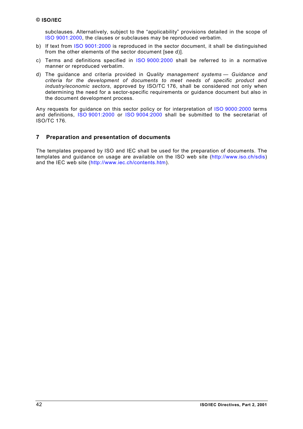<span id="page-41-0"></span>subclauses. Alternatively, subject to the "applicability" provisions detailed in the scope of [ISO 9001:2000,](http://www.iso.ch/isob/switch-engine-cate.pl?searchtype=refnumber&KEYWORDS=9001) the clauses or subclauses may be reproduced verbatim.

- b) If text from [ISO 9001:2000](http://www.iso.ch/isob/switch-engine-cate.pl?searchtype=refnumber&KEYWORDS=9001) is reproduced in the sector document, it shall be distinguished from the other elements of the sector document [see d)].
- c) Terms and definitions specified in [ISO 9000:2000](http://www.iso.ch/iso/en/StandardsQueryFormHandler.StandardsQueryFormHandler?keyword=&isoNumber=9000&isoPartNumber=&ICS=&stageCode=&stageDate=&committee=ALL&subcommittee=&scope=CATALOGUE&sortOrder=ISO) shall be referred to in a normative manner or reproduced verbatim.
- d) The guidance and criteria provided in *Quality management systems Guidance and criteria for the development of documents to meet needs of specific product and industry/economic sectors*, approved by ISO/TC 176, shall be considered not only when determining the need for a sector-specific requirements or guidance document but also in the document development process.

Any requests for guidance on this sector policy or for interpretation of [ISO 9000:2000](http://www.iso.ch/iso/en/StandardsQueryFormHandler.StandardsQueryFormHandler?keyword=&isoNumber=9000&isoPartNumber=&ICS=&stageCode=&stageDate=&committee=ALL&subcommittee=&scope=CATALOGUE&sortOrder=ISO) terms and definitions, [ISO 9001:2000](http://www.iso.ch/iso/en/StandardsQueryFormHandler.StandardsQueryFormHandler?keyword=&isoNumber=9001&isoPartNumber=&ICS=&stageCode=&stageDate=&committee=ALL&subcommittee=&scope=CATALOGUE&sortOrder=ISO) or [ISO 9004:2000](http://www.iso.ch/iso/en/StandardsQueryFormHandler.StandardsQueryFormHandler?keyword=&isoNumber=9004&isoPartNumber=&ICS=&stageCode=&stageDate=&committee=ALL&subcommittee=&scope=CATALOGUE&sortOrder=ISO) shall be submitted to the secretariat of ISO/TC 176.

## **7 Preparation and presentation of documents**

The templates prepared by ISO and IEC shall be used for the preparation of documents. The templates and guidance on usage are available on the ISO web site ([http://www.iso.ch/sdis\)](http://www.iso.ch/sdis) and the IEC web site ([http://www.iec.ch/contents.htm\)](http://www.iec.ch/contents.htm).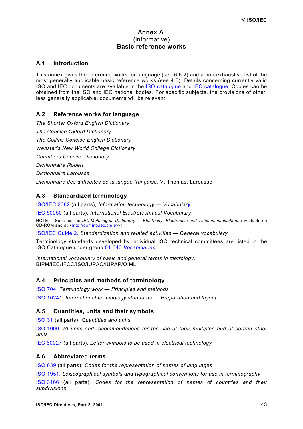## **Annex A**  (informative) **Basic reference works**

## <span id="page-42-0"></span>**A.1 Introduction**

This annex gives the reference works for language (see [6.6.2\)](#page-26-0) and a non-exhaustive list of the most generally applicable basic reference works (see [4.5\)](#page-11-0). Details concerning currently valid ISO and IEC documents are available in the [ISO catalogue](http://www.iso.ch/iso/en/prods-services/catalogue/intstandards/CatalogueListPage.CatalogueList) and [IEC catalogue.](http://www.iec.ch/catlg-e.htm) Copies can be obtained from the ISO and IEC national bodies. For specific subjects, the provisions of other, less generally applicable, documents will be relevant.

## **A.2 Reference works for language**

*The Shorter Oxford English Dictionary The Concise Oxford Dictionary The Collins Concise English Dictionary Webster's New World College Dictionary Chambers Concise Dictionary Dictionnaire Robert Dictionnaire Larousse Dictionnaire des difficultés de la langue française*, V. Thomas, Larousse

#### A.3 **andardized terminology**

ISO/IEC 2382 (all parts), *[Information](http://www.iso.ch/iso/en/StandardsQueryFormHandler.StandardsQueryFormHandler?keyword=&lastSearch=false&isoNumber=2382&isoPartNumber=&ICS=&stageCode=&stageDate=&committee=ALL&subcommittee=&scope=CATALOGUE&sortOrder=ISO) technology — Vocabulary*

IEC [60050 \(](http://www.iec.ch/cgi-bin/procgi.pl/www/iecwww.p?wwwlang=E&wwwprog=sea22.p&search=iecnumber&header=IEC&pubno=60050&part=&se=&number=&searchfor=&ics=)all parts), *International Electrotechnical Vocabulary*

NOTE See also the *IEC Multilingual Dictionary — Electricity, Electronics and Telecommunications* (available on CD-ROM and at <[http://domino.iec.ch/iev>](http://domino.iec.ch/iev)).

ISO/IEC Guide 2*, [Standardization and](http://www.iso.ch/iso/en/StandardsQueryFormHandler.StandardsQueryFormHandler?keyword=&lastSearch=false&isoNumber=2&isoPartNumber=&ICS=&stageCode=&stageDate=&committee=ALL&subcommittee=&scope=CATALOGUE&sortOrder=ISO) related activities — General vocabulary*

Terminology standards developed by individual ISO technical committees are listed in the ISO Catalogue under group 01.040 *[Vocabularies](http://www.iso.ch/cate/01.html)*.

*International vocabulary of basic and general terms in metrology,* BIPM/IEC/IFCC/ISO/IUPAC/IUPAP/OIML

## **A.4 Principles and methods of terminology**

ISO 704, *Terminology work — Principles [and methods](http://www.iso.ch/iso/en/StandardsQueryFormHandler.StandardsQueryFormHandler?keyword=&lastSearch=false&isoNumber=704&isoPartNumber=&ICS=&stageCode=&stageDate=&committee=ALL&subcommittee=&scope=CATALOGUE&sortOrder=ISO)*

ISO 10241, *[International](http://www.iso.ch/iso/en/StandardsQueryFormHandler.StandardsQueryFormHandler?keyword=&lastSearch=false&isoNumber=10241&isoPartNumber=&ICS=&stageCode=&stageDate=&committee=ALL&subcommittee=&scope=CATALOGUE&sortOrder=ISO) terminology standards — Preparation and layout*

## **A.5 Quantities, units and their symbols**

ISO 31 (all parts), *[Quantities and units](http://www.iso.ch/iso/en/StandardsQueryFormHandler.StandardsQueryFormHandler?keyword=&lastSearch=false&isoNumber=31&isoPartNumber=&ICS=&stageCode=&stageDate=&committee=ALL&subcommittee=&scope=CATALOGUE&sortOrder=ISO)*

ISO 1000, *SI units and [recommendations](http://www.iso.ch/iso/en/StandardsQueryFormHandler.StandardsQueryFormHandler?keyword=&lastSearch=false&isoNumber=1000&isoPartNumber=&ICS=&stageCode=&stageDate=&committee=ALL&subcommittee=&scope=CATALOGUE&sortOrder=ISO) for the use of their multiples and of certain other [units](http://www.iso.ch/iso/en/StandardsQueryFormHandler.StandardsQueryFormHandler?keyword=&lastSearch=false&isoNumber=1000&isoPartNumber=&ICS=&stageCode=&stageDate=&committee=ALL&subcommittee=&scope=CATALOGUE&sortOrder=ISO)*

[IEC 60027 \(](http://www.iec.ch/cgi-bin/procgi.pl/www/iecwww.p?wwwlang=E&wwwprog=sea22.p&search=iecnumber&header=IEC&pubno=60027&part=&se=&number=&searchfor=&ics=)all parts), *Letter symbols to be used in electrical technology*

## **A.6 Abbreviated terms**

ISO 639 (all parts), *Codes for the [representation](http://www.iso.ch/iso/en/StandardsQueryFormHandler.StandardsQueryFormHandler?keyword=&lastSearch=false&isoNumber=639&isoPartNumber=&ICS=&stageCode=&stageDate=&committee=ALL&subcommittee=&scope=CATALOGUE&sortOrder=ISO) of names of languages*

ISO 1951, *[Lexicographical symbols and typographical](http://www.iso.ch/iso/en/StandardsQueryFormHandler.StandardsQueryFormHandler?keyword=&lastSearch=false&isoNumber=1951&isoPartNumber=&ICS=&stageCode=&stageDate=&committee=ALL&subcommittee=&scope=CATALOGUE&sortOrder=ISO) conventions for use in terminography*

ISO 3166 (all parts), *Codes for the [representation](http://www.iso.ch/iso/en/StandardsQueryFormHandler.StandardsQueryFormHandler?keyword=&lastSearch=false&isoNumber=3166&isoPartNumber=&ICS=&stageCode=&stageDate=&committee=ALL&subcommittee=&scope=CATALOGUE&sortOrder=ISO) of names of countries and their [subdivisions](http://www.iso.ch/iso/en/StandardsQueryFormHandler.StandardsQueryFormHandler?keyword=&lastSearch=false&isoNumber=3166&isoPartNumber=&ICS=&stageCode=&stageDate=&committee=ALL&subcommittee=&scope=CATALOGUE&sortOrder=ISO)*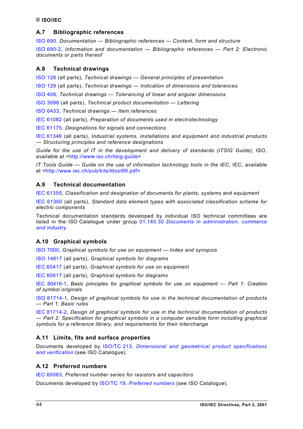## <span id="page-43-0"></span>**A.7 Bibliographic references**

ISO 690, *Documentation — [Bibliographic references](http://www.iso.ch/iso/en/StandardsQueryFormHandler.StandardsQueryFormHandler?keyword=&lastSearch=false&isoNumber=690&isoPartNumber=&ICS=&stageCode=&stageDate=&committee=ALL&subcommittee=&scope=CATALOGUE&sortOrder=ISO) — Content, form and structure* ISO 690-2, *Information [and documentation](http://www.iso.ch/iso/en/StandardsQueryFormHandler.StandardsQueryFormHandler?keyword=&lastSearch=false&isoNumber=690&isoPartNumber=2&ICS=&stageCode=&stageDate=&committee=ALL&subcommittee=&scope=CATALOGUE&sortOrder=ISO) — Bibliographic references — Part 2: Electronic [documents](http://www.iso.ch/iso/en/StandardsQueryFormHandler.StandardsQueryFormHandler?keyword=&lastSearch=false&isoNumber=690&isoPartNumber=2&ICS=&stageCode=&stageDate=&committee=ALL&subcommittee=&scope=CATALOGUE&sortOrder=ISO) or parts thereof*

## **A.8 Technical drawings**

ISO 128 (all parts), *Technical drawings [— General principles](http://www.iso.ch/iso/en/StandardsQueryFormHandler.StandardsQueryFormHandler?keyword=&lastSearch=false&isoNumber=128&isoPartNumber=&ICS=&stageCode=&stageDate=&committee=ALL&subcommittee=&scope=CATALOGUE&sortOrder=ISO) of presentation*

ISO 129 (all parts), *[Technical drawings](http://www.iso.ch/iso/en/StandardsQueryFormHandler.StandardsQueryFormHandler?keyword=&lastSearch=false&isoNumber=129&isoPartNumber=&ICS=&stageCode=&stageDate=&committee=ALL&subcommittee=&scope=CATALOGUE&sortOrder=ISO) — Indication of dimensions and tolerances*

ISO 406, *[Technical drawings](http://www.iso.ch/iso/en/StandardsQueryFormHandler.StandardsQueryFormHandler?keyword=&lastSearch=false&isoNumber=406&isoPartNumber=&ICS=&stageCode=&stageDate=&committee=ALL&subcommittee=&scope=CATALOGUE&sortOrder=ISO) — Tolerancing of linear and angular dimensions*

[ISO 3098 \(](http://www.iso.ch/iso/en/StandardsQueryFormHandler.StandardsQueryFormHandler?keyword=&isoNumber=3098&isoPartNumber=&ICS=&stageCode=&stageDate=&committee=ALL&subcommittee=&scope=CATALOGUE&sortOrder=ISO)all parts), *Technical product documentation — Lettering*

[ISO 6433,](http://www.iso.ch/iso/en/StandardsQueryFormHandler.StandardsQueryFormHandler?keyword=&isoNumber=6433&isoPartNumber=&ICS=&stageCode=&stageDate=&committee=ALL&subcommittee=&scope=CATALOGUE&sortOrder=ISO) *Technical drawings — Item references*

[IEC 61082 \(](http://www.iec.ch/cgi-bin/procgi.pl/www/iecwww.p?wwwlang=E&wwwprog=sea22.p&search=iecnumber&header=IEC&pubno=61082&part=&se=&number=&searchfor=&ics=)all parts), *Preparation of documents used in electrotechnology*

[IEC 61175,](http://www.iec.ch/cgi-bin/procgi.pl/www/iecwww.p?wwwlang=E&wwwprog=sea22.p&search=iecnumber&header=IEC&pubno=61175&part=&se=&number=&searchfor=&ics=) *Designations for signals and connections*

[IEC 61346](http://www.iec.ch/cgi-bin/procgi.pl/www/iecwww.p?wwwlang=E&wwwprog=sea22.p&search=iecnumber&header=IEC&pubno=61346&part=&se=&number=&searchfor=&ics=) (all parts), *Industrial systems, installations and equipment and industrial products — Structuring principles and reference designations*

*Guide for the use of IT in the development and delivery of standards (ITSIG Guide)*, ISO, available at <[http://www.iso.ch/itsig-guide>](http://www.iso.ch/itsig-guide)

*IT Tools Guide — Guide on the use of information technology tools in the IEC*, IEC, available at <[http://www.iec.ch/pub/kits/ittool99.pdf>](http://www.iec.ch/pub/kits/ittool99.pdf)

## **A.9 Technical documentation**

IEC [61355,](http://www.iec.ch/cgi-bin/procgi.pl/www/iecwww.p?wwwlang=E&wwwprog=sea22.p&search=iecnumber&header=IEC&pubno=61355&part=&se=&number=&searchfor=&ics=) *Classification and designation of documents for plants, systems and equipment*

IEC [61360](http://www.iec.ch/cgi-bin/procgi.pl/www/iecwww.p?wwwlang=E&wwwprog=sea22.p&search=iecnumber&header=IEC&pubno=61360&part=&se=&number=&searchfor=&ics=) (all parts), *Standard data element types with associated classification scheme for electric components*

Technical documentation standards developed by individual ISO technical committees are listed in the ISO Catalogue under group 01.140.30 *[Documents in administration, commerce](http://www.iso.ch/cate/0114030.html) [and industry](http://www.iso.ch/cate/0114030.html)*.

## **A.10 Graphical symbols**

[ISO 7000,](http://www.iso.ch/iso/en/StandardsQueryFormHandler.StandardsQueryFormHandler?keyword=&isoNumber=7000&isoPartNumber=&ICS=&stageCode=&stageDate=&committee=ALL&subcommittee=&scope=CATALOGUE&sortOrder=ISO) *Graphical symbols for use on equipment — Index and synopsis*

[ISO 14617 \(](http://www.iso.ch/iso/en/StandardsQueryFormHandler.StandardsQueryFormHandler?keyword=&isoNumber=14617&isoPartNumber=&ICS=&stageCode=&stageDate=&committee=ALL&subcommittee=&scope=CATALOGUE&sortOrder=ISO)all parts), *Graphical symbols for diagrams*

[IEC 60417 \(](http://www.iec.ch/cgi-bin/procgi.pl/www/iecwww.p?wwwlang=E&wwwprog=sea22.p&search=iecnumber&header=IEC&pubno=60417&part=&se=&number=&searchfor=&ics=)all parts), *Graphical symbols for use on equipment*

[IEC 60617 \(](http://www.iec.ch/cgi-bin/procgi.pl/www/iecwww.p?wwwlang=E&wwwprog=sea22.p&search=iecnumber&header=IEC&pubno=60617&part=&se=&number=&searchfor=&ics=)all parts), *Graphical symbols for diagrams*

[IEC 80416-1,](http://www.iec.ch/cgi-bin/procgi.pl/www/iecwww.p?wwwlang=E&wwwprog=sea22.p&search=iecnumber&header=IEC&pubno=80416&part=1&se=&number=&searchfor=&ics=) *Basic principles for graphical symbols for use on equipment — Part 1: Creation of symbol originals*

[ISO 81714-1,](http://www.iso.ch/iso/en/StandardsQueryFormHandler.StandardsQueryFormHandler?keyword=&isoNumber=81714&isoPartNumber=1&ICS=&stageCode=&stageDate=&committee=ALL&subcommittee=&scope=CATALOGUE&sortOrder=ISO) *Design of graphical symbols for use in the technical documentation of products — Part 1: Basic rules*

[IEC 81714-2,](http://www.iec.ch/cgi-bin/procgi.pl/www/iecwww.p?wwwlang=E&wwwprog=sea22.p&search=iecnumber&header=IEC&pubno=81714&part=2&se=&number=&searchfor=&ics=) *Design of graphical symbols for use in the technical documentation of products — Part 2: Specification for graphical symbols in a computer sensible form including graphical symbols for a reference library, and requirements for their interchange*

## **A.11 Limits, fits and surface properties**

Documents developed by ISO/TC 213*[, Dimensional and geometrical product specifications](http://www.iso.ch/iso/en/StandardsQueryFormHandler.StandardsQueryFormHandler?keyword=&lastSearch=false&isoNumber=&isoPartNumber=&ICS=&stageCode=&stageDate=&committee=4647&subcommittee=&scope=CATALOGUE&sortOrder=ISO) [and verification](http://www.iso.ch/iso/en/StandardsQueryFormHandler.StandardsQueryFormHandler?keyword=&lastSearch=false&isoNumber=&isoPartNumber=&ICS=&stageCode=&stageDate=&committee=4647&subcommittee=&scope=CATALOGUE&sortOrder=ISO)* (see ISO Catalogue).

## **A.12 Preferred numbers**

[IEC 60063,](http://www.iec.ch/cgi-bin/procgi.pl/www/iecwww.p?wwwlang=E&wwwprog=sea22.p&search=iecnumber&header=IEC&pubno=60063&part=&se=&number=&searchfor=&ics=) *Preferred number series for resistors and capacitors*

Documents developed by ISO/TC 19, *[Preferred numbers](http://www.iso.ch/iso/en/StandardsQueryFormHandler.StandardsQueryFormHandler?keyword=&lastSearch=false&isoNumber=&isoPartNumber=&ICS=&stageCode=&stageDate=&committee=674&subcommittee=&scope=CATALOGUE&sortOrder=ISO)* (see ISO Catalogue).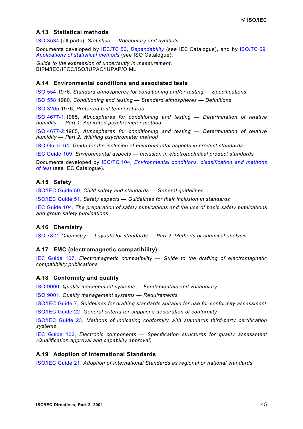## <span id="page-44-0"></span>**A.13 Statistical methods**

[ISO 3534](http://www.iso.ch/iso/en/StandardsQueryFormHandler.StandardsQueryFormHandler?keyword=&isoNumber=3534&isoPartNumber=&ICS=&stageCode=&stageDate=&committee=ALL&subcommittee=&scope=CATALOGUE&sortOrder=ISO) (all parts), *Statistics — Vocabulary and symbols*

Documents developed by IEC/TC 56, *[Dependability](http://www.iec.ch/cgi-bin/procgi.pl/www/iecwww.p?wwwlang=E&wwwprog=TCpubs.p&committee=TC&number=56)* (see IEC Catalogue), and by [ISO/TC 69](http://www.iso.ch/iso/en/StandardsQueryFormHandler.StandardsQueryFormHandler?keyword=&isoNumber=&isoPartNumber=&ICS=&stageCode=&stageDate=&committee=2227&subcommittee=&scope=CATALOGUE&sortOrder=ISO)*, [Applications of statistical methods](http://www.iso.ch/iso/en/StandardsQueryFormHandler.StandardsQueryFormHandler?keyword=&isoNumber=&isoPartNumber=&ICS=&stageCode=&stageDate=&committee=2227&subcommittee=&scope=CATALOGUE&sortOrder=ISO)* (see ISO Catalogue).

*Guide to the expression of uncertainty in measurement*, BIPM/IEC/IFCC/ISO/IUPAC/IUPAP/OIML

## **A.14 Environmental conditions and associated tests**

[ISO 554:](http://www.iso.ch/iso/en/StandardsQueryFormHandler.StandardsQueryFormHandler?keyword=&isoNumber=554&isoPartNumber=&ICS=&stageCode=&stageDate=&committee=ALL&subcommittee=&scope=CATALOGUE&sortOrder=ISO)1976, *Standard atmospheres for conditioning and/or testing — Specifications*

[ISO 558:](http://www.iso.ch/iso/en/StandardsQueryFormHandler.StandardsQueryFormHandler?keyword=&isoNumber=558&isoPartNumber=&ICS=&stageCode=&stageDate=&committee=ALL&subcommittee=&scope=CATALOGUE&sortOrder=ISO)1980, *Conditioning and testing — Standard atmospheres — Definitions*

[ISO 3205:](http://www.iso.ch/iso/en/StandardsQueryFormHandler.StandardsQueryFormHandler?keyword=&isoNumber=3205&isoPartNumber=&ICS=&stageCode=&stageDate=&committee=ALL&subcommittee=&scope=CATALOGUE&sortOrder=ISO)1976, *Preferred test temperatures*

[ISO 4677-1:1](http://www.iso.ch/iso/en/StandardsQueryFormHandler.StandardsQueryFormHandler?keyword=&isoNumber=4677&isoPartNumber=1&ICS=&stageCode=&stageDate=&committee=ALL&subcommittee=&scope=CATALOGUE&sortOrder=ISO)985, *Atmospheres for conditioning and testing — Determination of relative humidity — Part 1: Aspirated psychrometer method*

[ISO 4677-2:1](http://www.iso.ch/iso/en/StandardsQueryFormHandler.StandardsQueryFormHandler?keyword=&isoNumber=4677&isoPartNumber=2&ICS=&stageCode=&stageDate=&committee=ALL&subcommittee=&scope=CATALOGUE&sortOrder=ISO)985, *Atmospheres for conditioning and testing — Determination of relative humidity — Part 2: Whirling psychrometer method*

[ISO Guide 64,](http://www.iso.ch/iso/en/StandardsQueryFormHandler.StandardsQueryFormHandler?keyword=&lastSearch=false&isoNumber=64&isoPartNumber=&ICS=&stageCode=&stageDate=&committee=ALL&subcommittee=&scope=CATALOGUE&sortOrder=ISO) *Guide for the inclusion of environmental aspects in product standards*

IEC Guide 109, *[Environmental aspects](http://www.iec.ch/cgi-bin/procgi.pl/www/iecwww.p?wwwlang=E&wwwprog=sea22.p&search=iecnumber&header=IEC+GUIDE&pubno=109&part=&se=&number=&searchfor=&ics=) — Inclusion in electrotechnical product standards*

Documents developed by IEC/TC 104*[, Environmental conditions, classification and methods](http://www.iec.ch/cgi-bin/procgi.pl/www/iecwww.p?wwwlang=E&wwwprog=TCpubs.p&committee=TC&number=104) [of test](http://www.iec.ch/cgi-bin/procgi.pl/www/iecwww.p?wwwlang=E&wwwprog=TCpubs.p&committee=TC&number=104)* (see IEC Catalogue).

## **A.15 Safety**

[ISO/IEC Guide 50,](http://www.iso.ch/iso/en/StandardsQueryFormHandler.StandardsQueryFormHandler?keyword=&lastSearch=false&isoNumber=50&isoPartNumber=&ICS=&stageCode=&stageDate=&committee=ALL&subcommittee=&scope=CATALOGUE&sortOrder=ISO) *Child safety and standards — General guidelines*

[ISO/IEC Guide 51,](http://www.iso.ch/iso/en/StandardsQueryFormHandler.StandardsQueryFormHandler?keyword=&lastSearch=false&isoNumber=51&isoPartNumber=&ICS=&stageCode=&stageDate=&committee=ALL&subcommittee=&scope=CATALOGUE&sortOrder=ISO) *Safety aspects — Guidelines for their inclusion in standards*

IEC Guide 104, *The preparation of safety publications [and the use of](http://www.iec.ch/cgi-bin/procgi.pl/www/iecwww.p?wwwlang=E&wwwprog=sea22.p&search=iecnumber&header=IEC+GUIDE&pubno=104&part=&se=&number=&searchfor=&ics=) basic safety publications [and group safety](http://www.iec.ch/cgi-bin/procgi.pl/www/iecwww.p?wwwlang=E&wwwprog=sea22.p&search=iecnumber&header=IEC+GUIDE&pubno=104&part=&se=&number=&searchfor=&ics=) publications*

## **A.16 Chemistry**

[ISO 78-2,](http://www.iso.ch/iso/en/StandardsQueryFormHandler.StandardsQueryFormHandler?keyword=&isoNumber=78&isoPartNumber=2&ICS=&stageCode=&stageDate=&committee=ALL&subcommittee=&scope=CATALOGUE&sortOrder=ISO) *Chemistry — Layouts for standards — Part 2: Methods of chemical analysis*

#### **A.17 EMC (electromagnetic compatibility)**

IEC Guide 107, *[Electromagnetic](http://www.iec.ch/cgi-bin/procgi.pl/www/iecwww.p?wwwlang=E&wwwprog=sea22.p&search=iecnumber&header=IEC+GUIDE&pubno=107&part=&se=&number=&searchfor=&ics=) compatibility — Guide to the drafting of electromagnetic [compatibility publications](http://www.iec.ch/cgi-bin/procgi.pl/www/iecwww.p?wwwlang=E&wwwprog=sea22.p&search=iecnumber&header=IEC+GUIDE&pubno=107&part=&se=&number=&searchfor=&ics=)*

#### **A.18 Conformity and quality**

[ISO 9000,](http://www.iso.ch/iso/en/StandardsQueryFormHandler.StandardsQueryFormHandler?keyword=&isoNumber=9000&isoPartNumber=&ICS=&stageCode=&stageDate=&committee=ALL&subcommittee=&scope=CATALOGUE&sortOrder=ISO) *Quality management systems — Fundamentals and vocabulary*

[ISO 9001,](http://www.iso.ch/iso/en/StandardsQueryFormHandler.StandardsQueryFormHandler?keyword=&isoNumber=9001&isoPartNumber=&ICS=&stageCode=&stageDate=&committee=ALL&subcommittee=&scope=CATALOGUE&sortOrder=ISO) *Quality management systems — Requirements*

[ISO/IEC Guide 7,](http://www.iso.ch/iso/en/StandardsQueryFormHandler.StandardsQueryFormHandler?keyword=&lastSearch=false&isoNumber=7&isoPartNumber=&ICS=&stageCode=&stageDate=&committee=ALL&subcommittee=&scope=CATALOGUE&sortOrder=ISO) *Guidelines for drafting standards suitable for use for conformity assessment* ISO/IEC Guide 22, *General criteria for [supplier's declaration](http://www.iso.ch/iso/en/StandardsQueryFormHandler.StandardsQueryFormHandler?keyword=&lastSearch=false&isoNumber=22&isoPartNumber=&ICS=&stageCode=&stageDate=&committee=ALL&subcommittee=&scope=CATALOGUE&sortOrder=ISO) of conformity*

ISO/IEC Guide 23, *Methods of [indicating conformity](http://www.iso.ch/iso/en/StandardsQueryFormHandler.StandardsQueryFormHandler?keyword=&lastSearch=false&isoNumber=23&isoPartNumber=&ICS=&stageCode=&stageDate=&committee=ALL&subcommittee=&scope=CATALOGUE&sortOrder=ISO) with standards third-party certification [systems](http://www.iec.ch/cgi-bin/procgi.pl/www/iecwww.p?wwwlang=E&wwwprog=sea22.p&search=iecnumber&header=ISO%2FIEC+GUIDE&pubno=23&part=&se=&number=&searchfor=&ics=)*

IEC Guide 102, *Electronic components [— Specification structures](http://www.iec.ch/cgi-bin/procgi.pl/www/iecwww.p?wwwlang=E&wwwprog=sea22.p&search=iecnumber&header=IEC+GUIDE&pubno=102&part=&se=&number=&searchfor=&ics=) for quality assessment (Qualification approval [and capability approval\)](http://www.iec.ch/cgi-bin/procgi.pl/www/iecwww.p?wwwlang=E&wwwprog=sea22.p&search=iecnumber&header=IEC+GUIDE&pubno=102&part=&se=&number=&searchfor=&ics=)*

#### **A.19 Adoption of International Standards**

[ISO/IEC Guide 21,](http://www.iso.ch/iso/en/StandardsQueryFormHandler.StandardsQueryFormHandler?keyword=&lastSearch=false&isoNumber=21&isoPartNumber=&ICS=&stageCode=&stageDate=&committee=ALL&subcommittee=&scope=CATALOGUE&sortOrder=ISO) *Adoption of International Standards as regional or national standards*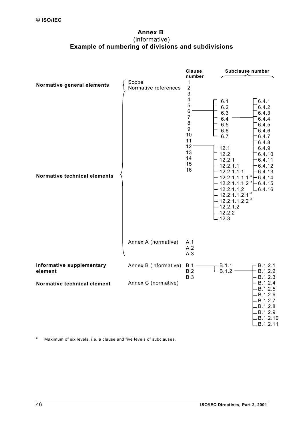## **Annex B**  (informative) **Example of numbering of divisions and subdivisions**

<span id="page-45-0"></span>

a Maximum of six levels, i.e. a clause and five levels of subclauses.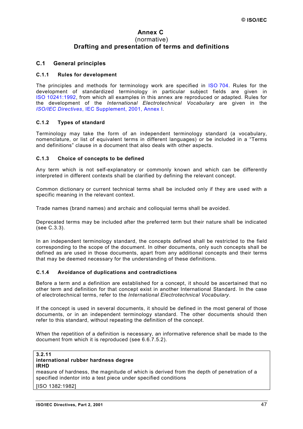## **Annex C**  (normative) **Drafting and presentation of terms and definitions**

#### <span id="page-46-0"></span>**C.1 General principles**

#### **C.1.1 Rules for development**

The principles and methods for terminology work are specified in [ISO 704.](http://isotc.iso.ch/livelink/livelink?func=ll&objId=1012703&objAction=browse&sort=-modifydate/en) Rules for the development of standardized terminology in particular subject fields are given in [ISO 10241:1992,](http://isotc.iso.ch/livelink/livelink?func=ll&objId=1012703&objAction=browse&sort=-modifydate/en) from which all examples in this annex are reproduced or adapted. Rules for the development of the *International Electrotechnical Vocabulary* are given in the *ISO/IEC Directives*[, IEC Supplement, 2001, Annex I.](http://www.iec.ch/pub/directives/Directives-IECSup-Ed1.pdf)

#### **C.1.2 Types of standard**

Terminology may take the form of an independent terminology standard (a vocabulary, nomenclature, or list of equivalent terms in different languages) or be included in a "Terms and definitions" clause in a document that also deals with other aspects.

#### **C.1.3 Choice of concepts to be defined**

Any term which is not self-explanatory or commonly known and which can be differently interpreted in different contexts shall be clarified by defining the relevant concept.

Common dictionary or current technical terms shall be included only if they are used with a specific meaning in the relevant context.

Trade names (brand names) and archaic and colloquial terms shall be avoided.

Deprecated terms may be included after the preferred term but their nature shall be indicated (see [C.3.3\)](#page-48-0).

In an independent terminology standard, the concepts defined shall be restricted to the field corresponding to the scope of the document. In other documents, only such concepts shall be defined as are used in those documents, apart from any additional concepts and their terms that may be deemed necessary for the understanding of these definitions.

#### **C.1.4 Avoidance of duplications and contradictions**

Before a term and a definition are established for a concept, it should be ascertained that no other term and definition for that concept exist in another International Standard. In the case of electrotechnical terms, refer to the *International Electrotechnical Vocabulary*.

If the concept is used in several documents, it should be defined in the most general of those documents, or in an independent terminology standard. The other documents should then refer to this standard, without repeating the definition of the concept.

When the repetition of a definition is necessary, an informative reference shall be made to the document from which it is reproduced (see [6.6.7.5.](#page-35-0)2).

#### **3.2.11 international rubber hardness degree**

#### **IRHD**

measure of hardness, the magnitude of which is derived from the depth of penetration of a specified indentor into a test piece under specified conditions

[ISO 1382:1982]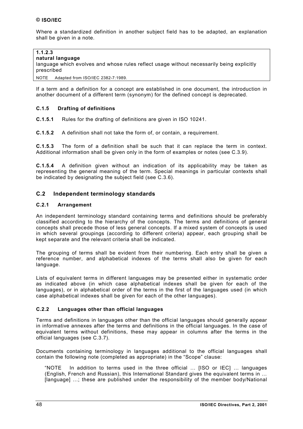<span id="page-47-0"></span>Where a standardized definition in another subject field has to be adapted, an explanation shall be given in a note.

# **1.1.2.3**

**natural language**

language which evolves and whose rules reflect usage without necessarily being explicitly prescribed

NOTE Adapted from ISO/IEC 2382-7:1989.

If a term and a definition for a concept are established in one document, the introduction in another document of a different term (synonym) for the defined concept is deprecated.

## **C.1.5 Drafting of definitions**

**C.1.5.1** Rules for the drafting of definitions are given in ISO 10241.

**C.1.5.2** A definition shall not take the form of, or contain, a requirement.

**C.1.5.3** The form of a definition shall be such that it can replace the term in context. Additional information shall be given only in the form of examples or notes (see [C.3.9\)](#page-50-0).

**C.1.5.4** A definition given without an indication of its applicability may be taken as representing the general meaning of the term. Special meanings in particular contexts shall be indicated by designating the subject field (see [C.3.6\)](#page-49-0).

## **C.2 Independent terminology standards**

#### **C.2.1 Arrangement**

An independent terminology standard containing terms and definitions should be preferably classified according to the hierarchy of the concepts. The terms and definitions of general concepts shall precede those of less general concepts. If a mixed system of concepts is used in which several groupings (according to different criteria) appear, each grouping shall be kept separate and the relevant criteria shall be indicated.

The grouping of terms shall be evident from their numbering. Each entry shall be given a reference number, and alphabetical indexes of the terms shall also be given for each language.

Lists of equivalent terms in different languages may be presented either in systematic order as indicated above (in which case alphabetical indexes shall be given for each of the languages), or in alphabetical order of the terms in the first of the languages used (in which case alphabetical indexes shall be given for each of the other languages).

#### **C.2.2 Languages other than official languages**

Terms and definitions in languages other than the official languages should generally appear in informative annexes after the terms and definitions in the official languages. In the case of equivalent terms without definitions, these may appear in columns after the terms in the official languages (see [C.3.7\).](#page-49-0)

Documents containing terminology in languages additional to the official languages shall contain the following note (completed as appropriate) in the "Scope" clause:

"NOTE In addition to terms used in the three official … [ISO or IEC] … languages (English, French and Russian), this International Standard gives the equivalent terms in … [language] …; these are published under the responsibility of the member body/National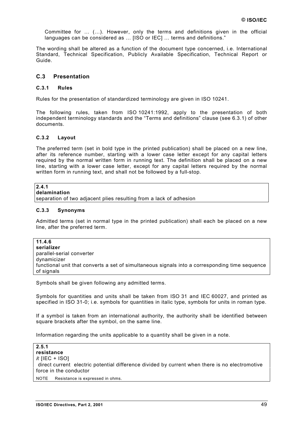<span id="page-48-0"></span>Committee for … (…). However, only the terms and definitions given in the official languages can be considered as … [ISO or IEC] … terms and definitions."

The wording shall be altered as a function of the document type concerned, i.e. International Standard, Technical Specification, Publicly Available Specification, Technical Report or Guide.

## **C.3 Presentation**

#### **C.3.1 Rules**

Rules for the presentation of standardized terminology are given in ISO 10241.

The following rules, taken from ISO 10241:1992, apply to the presentation of both independent terminology standards and the "Terms and definitions" clause (see [6.3.1\)](#page-20-0) of other documents.

#### **C.3.2 Layout**

The preferred term (set in bold type in the printed publication) shall be placed on a new line, after its reference number, starting with a lower case letter except for any capital letters required by the normal written form in running text. The definition shall be placed on a new line, starting with a lower case letter, except for any capital letters required by the normal written form in running text, and shall not be followed by a full-stop.

# **2.4.1**

**delamination**

separation of two adjacent plies resulting from a lack of adhesion

#### **C.3.3 Synonyms**

Admitted terms (set in normal type in the printed publication) shall each be placed on a new line, after the preferred term.

**11.4.6 serializer** parallel-serial converter dynamicizer functional unit that converts a set of simultaneous signals into a corresponding time sequence of signals

Symbols shall be given following any admitted terms.

Symbols for quantities and units shall be taken from ISO 31 and IEC 60027, and printed as specified in ISO 31-0; i.e. symbols for quantities in italic type, symbols for units in roman type.

If a symbol is taken from an international authority, the authority shall be identified between square brackets after the symbol, on the same line.

Information regarding the units applicable to a quantity shall be given in a note.

| 2.5.1           |                                                                                                  |
|-----------------|--------------------------------------------------------------------------------------------------|
| resistance      |                                                                                                  |
| $R$ [IEC + ISO] |                                                                                                  |
|                 | (direct current) electric potential difference divided by current when there is no electromotive |
|                 | force in the conductor                                                                           |
|                 | NOTE Resistance is expressed in ohms.                                                            |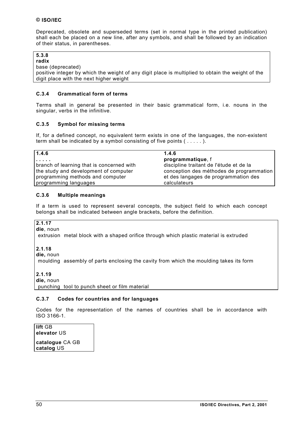<span id="page-49-0"></span>Deprecated, obsolete and superseded terms (set in normal type in the printed publication) shall each be placed on a new line, after any symbols, and shall be followed by an indication of their status, in parentheses.

#### **5.3.8 radix**

base (deprecated)

positive integer by which the weight of any digit place is multiplied to obtain the weight of the digit place with the next higher weight

## **C.3.4 Grammatical form of terms**

Terms shall in general be presented in their basic grammatical form, i.e. nouns in the singular, verbs in the infinitive.

## **C.3.5 Symbol for missing terms**

If, for a defined concept, no equivalent term exists in one of the languages, the non-existent term shall be indicated by a symbol consisting of five points (.....).

| 1.4.6                                     | 1.4.6                                    |
|-------------------------------------------|------------------------------------------|
| .                                         | programmatique, f                        |
| branch of learning that is concerned with | discipline traitant de l'étude et de la  |
| the study and development of computer     | conception des méthodes de programmation |
| programming methods and computer          | et des langages de programmation des     |
| programming languages                     | calculateurs                             |

## **C.3.6 Multiple meanings**

If a term is used to represent several concepts, the subject field to which each concept belongs shall be indicated between angle brackets, before the definition.

#### **2.1.17 die**, noun

〈extrusion〉 metal block with a shaped orifice through which plastic material is extruded

## **2.1.18**

**die,** noun

〈moulding〉 assembly of parts enclosing the cavity from which the moulding takes its form

#### **2.1.19**

**die,** noun

〈punching〉 tool to punch sheet or film material

## **C.3.7 Codes for countries and for languages**

Codes for the representation of the names of countries shall be in accordance with ISO 3166-1.

**lift** GB **elevator** US **catalogue** CA GB **catalog** US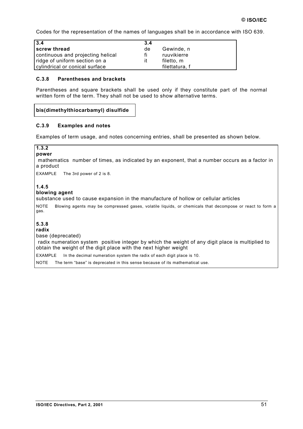<span id="page-50-0"></span>Codes for the representation of the names of languages shall be in accordance with ISO 639.

| 3.4                               | 3.4 |                |
|-----------------------------------|-----|----------------|
| screw thread                      | de  | Gewinde, n     |
| continuous and projecting helical | fi  | ruuvikierre    |
| ridge of uniform section on a     | it  | filetto, m     |
| cylindrical or conical surface    |     | filettatura. f |

## **C.3.8 Parentheses and brackets**

Parentheses and square brackets shall be used only if they constitute part of the normal written form of the term. They shall not be used to show alternative terms.

## **bis(dimethylthiocarbamyl) disulfide**

### **C.3.9 Examples and notes**

Examples of term usage, and notes concerning entries, shall be presented as shown below.

| 1.3.2<br>power                                                                                                                                                                                                |
|---------------------------------------------------------------------------------------------------------------------------------------------------------------------------------------------------------------|
| (mathematics) number of times, as indicated by an exponent, that a number occurs as a factor in<br>a product                                                                                                  |
| <b>EXAMPLE</b><br>The 3rd power of 2 is 8.                                                                                                                                                                    |
| 1.4.5<br>blowing agent<br>substance used to cause expansion in the manufacture of hollow or cellular articles                                                                                                 |
| <b>NOTE</b><br>Blowing agents may be compressed gases, volatile liquids, or chemicals that decompose or react to form a<br>gas.                                                                               |
| 5.3.8<br>radix<br>base (deprecated)<br>(radix numeration system) positive integer by which the weight of any digit place is multiplied to<br>obtain the weight of the digit place with the next higher weight |
| <b>EXAMPLE</b><br>In the decimal numeration system the radix of each digit place is 10.                                                                                                                       |

NOTE The term "base" is deprecated in this sense because of its mathematical use.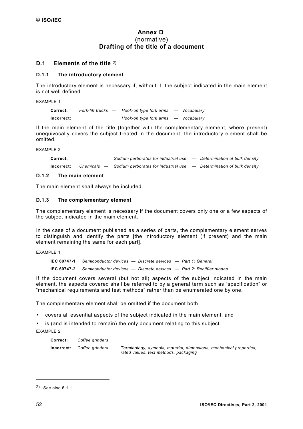## **Annex D**  (normative) **Drafting of the title of a document**

## <span id="page-51-0"></span>**D.1 Elements of the title** 2)

## **D.1.1 The introductory element**

The introductory element is necessary if, without it, the subject indicated in the main element is not well defined.

EXAMPLE 1

| Correct:   | Fork-lift trucks — | Hook-on type fork arms - Vocabulary |  |
|------------|--------------------|-------------------------------------|--|
| Incorrect: |                    | Hook-on type fork arms - Vocabulary |  |

If the main element of the title (together with the complementary element, where present) unequivocally covers the subject treated in the document, the introductory element shall be omitted.

EXAMPLE 2

| Correct:   |               | Sodium perborates for industrial use - Determination of bulk density |                                 |
|------------|---------------|----------------------------------------------------------------------|---------------------------------|
| Incorrect: | Chemicals $-$ | Sodium perborates for industrial use strate.                         | - Determination of bulk density |

## **D.1.2 The main element**

The main element shall always be included.

#### **D.1.3 The complementary element**

The complementary element is necessary if the document covers only one or a few aspects of the subject indicated in the main element.

In the case of a document published as a series of parts, the complementary element serves to distinguish and identify the parts [the introductory element (if present) and the main element remaining the same for each part].

EXAMPLE 1

**IEC 60747-1** *Semiconductor devices — Discrete devices — Part 1: General* **IEC 60747-2** *Semiconductor devices — Discrete devices — Part 2: Rectifier diodes*

If the document covers several (but not all) aspects of the subject indicated in the main element, the aspects covered shall be referred to by a general term such as "specification" or "mechanical requirements and test methods" rather than be enumerated one by one.

The complementary element shall be omitted if the document both

- covers all essential aspects of the subject indicated in the main element, and
- is (and is intended to remain) the only document relating to this subject. EXAMPLE 2

**Correct:** *Coffee grinders* **Incorrect:** *Coffee grinders* — *Terminology, symbols, material, dimensions, mechanical properties, rated values, test methods, packaging*

l

<sup>2)</sup> See also 6.1.1.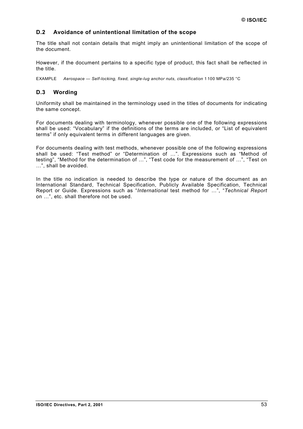## <span id="page-52-0"></span>**D.2 Avoidance of unintentional limitation of the scope**

The title shall not contain details that might imply an unintentional limitation of the scope of the document.

However, if the document pertains to a specific type of product, this fact shall be reflected in the title.

EXAMPLE *Aerospace — Self-locking, fixed, single-lug anchor nuts, classification* 1 100 MPa/235 °C

## **D.3 Wording**

Uniformity shall be maintained in the terminology used in the titles of documents for indicating the same concept.

For documents dealing with terminology, whenever possible one of the following expressions shall be used: "Vocabulary" if the definitions of the terms are included, or "List of equivalent terms" if only equivalent terms in different languages are given.

For documents dealing with test methods, whenever possible one of the following expressions shall be used: "Test method" or "Determination of …". Expressions such as "Method of testing", "Method for the determination of …", "Test code for the measurement of …", "Test on …", shall be avoided.

In the title no indication is needed to describe the type or nature of the document as an International Standard, Technical Specification, Publicly Available Specification, Technical Report or Guide. Expressions such as "*International* test method for …", "*Technical Report* on …", etc. shall therefore not be used.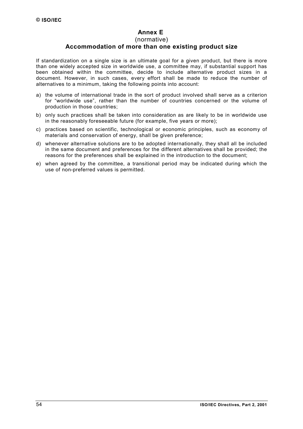## **Annex E**

#### (normative)

## **Accommodation of more than one existing product size**

<span id="page-53-0"></span>If standardization on a single size is an ultimate goal for a given product, but there is more than one widely accepted size in worldwide use, a committee may, if substantial support has been obtained within the committee, decide to include alternative product sizes in a document. However, in such cases, every effort shall be made to reduce the number of alternatives to a minimum, taking the following points into account:

- a) the volume of international trade in the sort of product involved shall serve as a criterion for "worldwide use", rather than the number of countries concerned or the volume of production in those countries;
- b) only such practices shall be taken into consideration as are likely to be in worldwide use in the reasonably foreseeable future (for example, five years or more);
- c) practices based on scientific, technological or economic principles, such as economy of materials and conservation of energy, shall be given preference;
- d) whenever alternative solutions are to be adopted internationally, they shall all be included in the same document and preferences for the different alternatives shall be provided; the reasons for the preferences shall be explained in the introduction to the document;
- e) when agreed by the committee, a transitional period may be indicated during which the use of non-preferred values is permitted.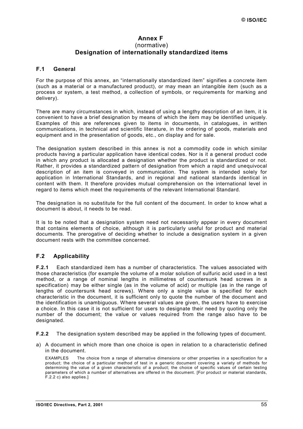## **Annex F**  (normative) **Designation of internationally standardized items**

## <span id="page-54-0"></span>**F.1 General**

For the purpose of this annex, an "internationally standardized item" signifies a concrete item (such as a material or a manufactured product), or may mean an intangible item (such as a process or system, a test method, a collection of symbols, or requirements for marking and delivery).

There are many circumstances in which, instead of using a lengthy description of an item, it is convenient to have a brief designation by means of which the item may be identified uniquely. Examples of this are references given to items in documents, in catalogues, in written communications, in technical and scientific literature, in the ordering of goods, materials and equipment and in the presentation of goods, etc., on display and for sale.

The designation system described in this annex is not a commodity code in which similar products having a particular application have identical codes. Nor is it a general product code in which any product is allocated a designation whether the product is standardized or not. Rather, it provides a standardized pattern of designation from which a rapid and unequivocal description of an item is conveyed in communication. The system is intended solely for application in International Standards, and in regional and national standards identical in content with them. It therefore provides mutual comprehension on the international level in regard to items which meet the requirements of the relevant International Standard.

The designation is no substitute for the full content of the document. In order to know what a document is about, it needs to be read.

It is to be noted that a designation system need not necessarily appear in every document that contains elements of choice, although it is particularly useful for product and material documents. The prerogative of deciding whether to include a designation system in a given document rests with the committee concerned.

## **F.2 Applicability**

**F.2.1** Each standardized item has a number of characteristics. The values associated with those characteristics (for example the volume of a molar solution of sulfuric acid used in a test method, or a range of nominal lengths in millimetres of countersunk head screws in a specification) may be either single (as in the volume of acid) or multiple (as in the range of lengths of countersunk head screws). Where only a single value is specified for each characteristic in the document, it is sufficient only to quote the number of the document and the identification is unambiguous. Where several values are given, the users have to exercise a choice. In this case it is not sufficient for users to designate their need by quoting only the number of the document; the value or values required from the range also have to be designated.

**F.2.2** The designation system described may be applied in the following types of document.

a) A document in which more than one choice is open in relation to a characteristic defined in the document.

EXAMPLES The choice from a range of alternative dimensions or other properties in a specification for a product; the choice of a particular method of test in a generic document covering a variety of methods for determining the value of a given characteristic of a product; the choice of specific values of certain testing parameters of which a number of alternatives are offered in the document. [For product or material standards, F.2.2 [c\) a](#page-55-0)lso applies.]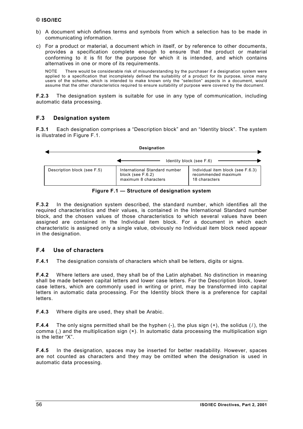- <span id="page-55-0"></span>b) A document which defines terms and symbols from which a selection has to be made in communicating information.
- c) For a product or material, a document which in itself, or by reference to other documents, provides a specification complete enough to ensure that the product or material conforming to it is fit for the purpose for which it is intended, and which contains alternatives in one or more of its requirements.

NOTE There would be considerable risk of misunderstanding by the purchaser if a designation system were applied to a specification that incompletely defined the suitability of a product for its purpose, since many users of the scheme, which is intended to make known only the "selection" aspects in a document, would assume that the other characteristics required to ensure suitability of purpose were covered by the document.

**[F.2.](#page-54-0)3** The designation system is suitable for use in any type of communication, including automatic data processing.

## **F.3 Designation system**

**F.3.1** Each designation comprises a "Description block" and an "Identity block". The system is illustrated in Figure F.1.



**Figure F.1 — Structure of designation system**

**F.3.2** In the designation system described, the standard number, which identifies all the required characteristics and their values, is contained in the International Standard number block, and the chosen values of those characteristics to which several values have been assigned are contained in the Individual item block. For a document in which each characteristic is assigned only a single value, obviously no Individual item block need appear in the designation.

## **F.4 Use of characters**

**F.4.1** The designation consists of characters which shall be letters, digits or signs.

**F.4.2** Where letters are used, they shall be of the Latin alphabet. No distinction in meaning shall be made between capital letters and lower case letters. For the Description block, lower case letters, which are commonly used in writing or print, may be transformed into capital letters in automatic data processing. For the Identity block there is a preference for capital letters.

**F.4.3** Where digits are used, they shall be Arabic.

**F.4.4** The only signs permitted shall be the hyphen (-), the plus sign (+), the solidus (/), the comma (,) and the multiplication sign (×). In automatic data processing the multiplication sign is the letter "X".

**F.4.5** In the designation, spaces may be inserted for better readability. However, spaces are not counted as characters and they may be omitted when the designation is used in automatic data processing.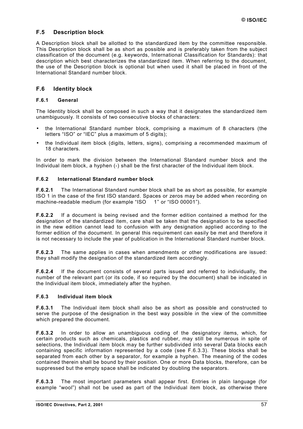## <span id="page-56-0"></span>**F.5 Description block**

A Description block shall be allotted to the standardized item by the committee responsible. This Description block shall be as short as possible and is preferably taken from the subject classification of the document (e.g. keywords, International Classification for Standards): that description which best characterizes the standardized item. When referring to the document, the use of the Description block is optional but when used it shall be placed in front of the International Standard number block.

## **F.6 Identity block**

## **F.6.1 General**

The Identity block shall be composed in such a way that it designates the standardized item unambiguously. It consists of two consecutive blocks of characters:

- the International Standard number block, comprising a maximum of 8 characters (the letters "ISO" or "IEC" plus a maximum of 5 digits);
- the Individual item block (digits, letters, signs), comprising a recommended maximum of 18 characters.

In order to mark the division between the International Standard number block and the Individual item block, a hyphen (-) shall be the first character of the Individual item block.

#### **F.6.2 International Standard number block**

**F.6.2.1** The International Standard number block shall be as short as possible, for example ISO 1 in the case of the first ISO standard. Spaces or zeros may be added when recording on machine-readable medium (for example "ISO 1" or "ISO 00001").

**F.6.2.2** If a document is being revised and the former edition contained a method for the designation of the standardized item, care shall be taken that the designation to be specified in the new edition cannot lead to confusion with any designation applied according to the former edition of the document. In general this requirement can easily be met and therefore it is not necessary to include the year of publication in the International Standard number block.

**F.6.2.3** The same applies in cases when amendments or other modifications are issued: they shall modify the designation of the standardized item accordingly.

**F.6.2.4** If the document consists of several parts issued and referred to individually, the number of the relevant part (or its code, if so required by the document) shall be indicated in the Individual item block, immediately after the hyphen.

#### **F.6.3 Individual item block**

**F.6.3.1** The Individual item block shall also be as short as possible and constructed to serve the purpose of the designation in the best way possible in the view of the committee which prepared the document.

**F.6.3.2** In order to allow an unambiguous coding of the designatory items, which, for certain products such as chemicals, plastics and rubber, may still be numerous in spite of selections, the Individual item block may be further subdivided into several Data blocks each containing specific information represented by a code (see F.6.3.3). These blocks shall be separated from each other by a separator, for example a hyphen. The meaning of the codes contained therein shall be bound by their position. One or more Data blocks, therefore, can be suppressed but the empty space shall be indicated by doubling the separators.

**F.6.3.3** The most important parameters shall appear first. Entries in plain language (for example "wool") shall not be used as part of the Individual item block, as otherwise there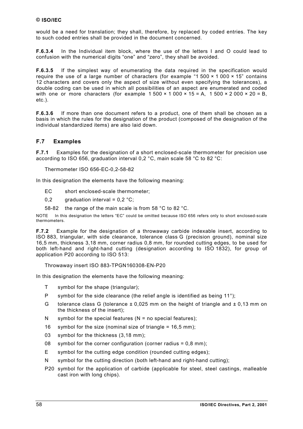<span id="page-57-0"></span>would be a need for translation; they shall, therefore, by replaced by coded entries. The key to such coded entries shall be provided in the document concerned.

**[F.6.3.](#page-56-0)4** In the Individual item block, where the use of the letters I and O could lead to confusion with the numerical digits "one" and "zero", they shall be avoided.

**[F.6.3.](#page-56-0)5** If the simplest way of enumerating the data required in the specification would require the use of a large number of characters (for example "1 500  $\times$  1 000  $\times$  15" contains 12 characters and covers only the aspect of size without even specifying the tolerances), a double coding can be used in which all possibilities of an aspect are enumerated and coded with one or more characters (for example  $1\,500 \times 1\,000 \times 15 = A$ ,  $1\,500 \times 2\,000 \times 20 = B$ , etc.).

**[F.6.3.](#page-56-0)6** If more than one document refers to a product, one of them shall be chosen as a basis in which the rules for the designation of the product (composed of the designation of the individual standardized items) are also laid down.

## **F.7 Examples**

**F.7.1** Examples for the designation of a short enclosed-scale thermometer for precision use according to ISO 656, graduation interval 0,2 °C, main scale 58 °C to 82 °C:

Thermometer ISO 656-EC-0,2-58-82

In this designation the elements have the following meaning:

- EC short enclosed-scale thermometer;
- 0,2 graduation interval =  $0.2 \degree$ C;
- 58-82 the range of the main scale is from 58 °C to 82 °C.

NOTE In this designation the letters "EC" could be omitted because ISO 656 refers only to short enclosed-scale thermometers.

**F.7.2** Example for the designation of a throwaway carbide indexable insert, according to ISO 883, triangular, with side clearance, tolerance class G (precision ground), nominal size 16,5 mm, thickness 3,18 mm, corner radius 0,8 mm, for rounded cutting edges, to be used for both left-hand and right-hand cutting (designation according to ISO 1832), for group of application P20 according to ISO 513:

#### Throwaway insert ISO 883-TPGN160308-EN-P20

In this designation the elements have the following meaning:

- T symbol for the shape (triangular);
- P symbol for the side clearance (the relief angle is identified as being 11°);
- G tolerance class G (tolerance  $\pm$  0,025 mm on the height of triangle and  $\pm$  0,13 mm on the thickness of the insert);
- N symbol for the special features  $(N = no$  special features);
- 16 symbol for the size (nominal size of triangle = 16,5 mm);
- 03 symbol for the thickness (3,18 mm);
- 08 symbol for the corner configuration (corner radius =  $0.8$  mm);
- E symbol for the cutting edge condition (rounded cutting edges);
- N symbol for the cutting direction (both left-hand and right-hand cutting);
- P20 symbol for the application of carbide (applicable for steel, steel castings, malleable cast iron with long chips).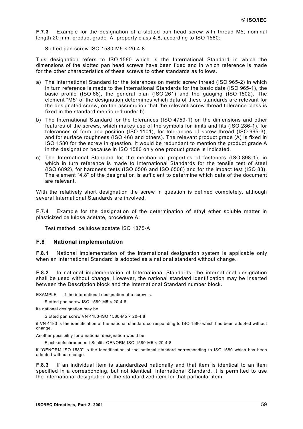<span id="page-58-0"></span>**[F.7.](#page-57-0)3** Example for the designation of a slotted pan head screw with thread M5, nominal length 20 mm, product grade A, property class 4.8, according to ISO 1580:

Slotted pan screw ISO 1580-M5 × 20-4.8

This designation refers to ISO 1580 which is the International Standard in which the dimensions of the slotted pan head screws have been fixed and in which reference is made for the other characteristics of these screws to other standards as follows.

- a) The International Standard for the tolerances on metric screw thread (ISO 965-2) in which in turn reference is made to the International Standards for the basic data (ISO 965-1), the basic profile (ISO 68), the general plan (ISO 261) and the gauging (ISO 1502). The element "M5" of the designation determines which data of these standards are relevant for the designated screw, on the assumption that the relevant screw thread tolerance class is fixed in the standard mentioned under b).
- b) The International Standard for the tolerances (ISO 4759-1) on the dimensions and other features of the screws, which makes use of the symbols for limits and fits (ISO 286-1), for tolerances of form and position (ISO 1101), for tolerances of screw thread (ISO 965-3), and for surface roughness (ISO 468 and others). The relevant product grade (A) is fixed in ISO 1580 for the screw in question. It would be redundant to mention the product grade A in the designation because in ISO 1580 only one product grade is indicated.
- c) The International Standard for the mechanical properties of fasteners (ISO 898-1), in which in turn reference is made to International Standards for the tensile test of steel (ISO 6892), for hardness tests (ISO 6506 and ISO 6508) and for the impact test (ISO 83). The element "4.8" of the designation is sufficient to determine which data of the document are relevant.

With the relatively short designation the screw in question is defined completely, although several International Standards are involved.

**[F.7.](#page-57-0)4** Example for the designation of the determination of ethyl ether soluble matter in plasticized cellulose acetate, procedure A:

Test method, cellulose acetate ISO 1875-A

#### **F.8 National implementation**

**F.8.1** National implementation of the international designation system is applicable only when an International Standard is adopted as a national standard without change.

**F.8.2** In national implementation of International Standards, the international designation shall be used without change. However, the national standard identification may be inserted between the Description block and the International Standard number block.

EXAMPLE If the international designation of a screw is:

Slotted pan screw ISO 1580-M5 × 20-4.8

its national designation may be

Slotted pan screw VN 4183-ISO 1580-M5 × 20-4.8

if VN 4183 is the identification of the national standard corresponding to ISO 1580 which has been adopted without change.

Another possibility for a national designation would be:

Flachkopfschraube mit Schlitz OENORM ISO 1580-M5 × 20-4.8

if "OENORM ISO 1580" is the identification of the national standard corresponding to ISO 1580 which has been adopted without change.

**F.8.3** If an individual item is standardized nationally and that item is identical to an item specified in a corresponding, but not identical, International Standard, it is permitted to use the international designation of the standardized item for that particular item.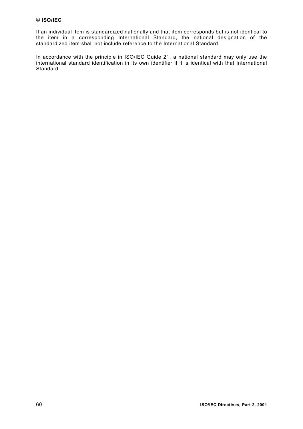If an individual item is standardized nationally and that item corresponds but is not identical to the item in a corresponding International Standard, the national designation of the standardized item shall not include reference to the International Standard.

In accordance with the principle in ISO/IEC Guide 21, a national standard may only use the international standard identification in its own identifier if it is identical with that International Standard.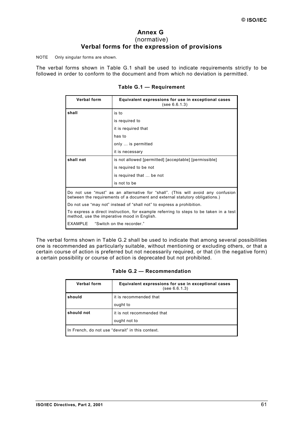## **Annex G**  (normative) **Verbal forms for the expression of provisions**

<span id="page-60-0"></span>NOTE Only singular forms are shown.

The verbal forms shown in Table G.1 shall be used to indicate requirements strictly to be followed in order to conform to the document and from which no deviation is permitted.

| Verbal form                                                                                                                                                    | Equivalent expressions for use in exceptional cases<br>(see 6.6.1.3)                  |
|----------------------------------------------------------------------------------------------------------------------------------------------------------------|---------------------------------------------------------------------------------------|
| shall                                                                                                                                                          | is to                                                                                 |
|                                                                                                                                                                | is required to                                                                        |
|                                                                                                                                                                | it is required that                                                                   |
|                                                                                                                                                                | has to                                                                                |
|                                                                                                                                                                | only  is permitted                                                                    |
|                                                                                                                                                                | it is necessary                                                                       |
| shall not                                                                                                                                                      | is not allowed [permitted] [acceptable] [permissible]                                 |
|                                                                                                                                                                | is required to be not                                                                 |
|                                                                                                                                                                | is required that  be not                                                              |
|                                                                                                                                                                | is not to be                                                                          |
| Do not use "must" as an alternative for "shall". (This will avoid any confusion<br>between the requirements of a document and external statutory obligations.) |                                                                                       |
|                                                                                                                                                                | Do not use "may not" instead of "shall not" to express a prohibition.                 |
| method, use the imperative mood in English.                                                                                                                    | To express a direct instruction, for example referring to steps to be taken in a test |
| <b>EXAMPLE</b>                                                                                                                                                 | "Switch on the recorder."                                                             |

## **Table G.1 — Requirement**

The verbal forms shown in Table G.2 shall be used to indicate that among several possibilities one is recommended as particularly suitable, without mentioning or excluding others, or that a certain course of action is preferred but not necessarily required, or that (in the negative form) a certain possibility or course of action is deprecated but not prohibited.

| Verbal form                                      | Equivalent expressions for use in exceptional cases<br>(see 6.6.1.3) |
|--------------------------------------------------|----------------------------------------------------------------------|
| should                                           | it is recommended that                                               |
|                                                  | ought to                                                             |
| should not                                       | it is not recommended that                                           |
|                                                  | ought not to                                                         |
| In French, do not use "devrait" in this context. |                                                                      |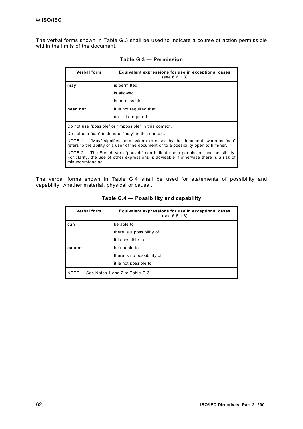<span id="page-61-0"></span>The verbal forms shown in Table G.3 shall be used to indicate a course of action permissible within the limits of the document.

| <b>Verbal form</b>                                                                                                                                                                               | Equivalent expressions for use in exceptional cases<br>(see 6.6.1.3) |  |
|--------------------------------------------------------------------------------------------------------------------------------------------------------------------------------------------------|----------------------------------------------------------------------|--|
| may                                                                                                                                                                                              | is permitted                                                         |  |
|                                                                                                                                                                                                  | is allowed                                                           |  |
|                                                                                                                                                                                                  | is permissible                                                       |  |
| need not                                                                                                                                                                                         | it is not required that                                              |  |
|                                                                                                                                                                                                  | no  is required                                                      |  |
| Do not use "possible" or "impossible" in this context.                                                                                                                                           |                                                                      |  |
| Do not use "can" instead of "may" in this context.                                                                                                                                               |                                                                      |  |
| "May" signifies permission expressed by the document, whereas "can"<br>NOTE 1<br>refers to the ability of a user of the document or to a possibility open to him/her.                            |                                                                      |  |
| NOTE 2<br>The French verb "pouvoir" can indicate both permission and possibility.<br>For clarity, the use of other expressions is advisable if otherwise there is a risk of<br>misunderstanding. |                                                                      |  |

| Table G.3 - Permission |  |  |  |
|------------------------|--|--|--|
|------------------------|--|--|--|

The verbal forms shown in Table G.4 shall be used for statements of possibility and capability, whether material, physical or causal.

| <b>Verbal form</b>                             | Equivalent expressions for use in exceptional cases<br>(see 6.6.1.3) |
|------------------------------------------------|----------------------------------------------------------------------|
| can                                            | be able to                                                           |
|                                                | there is a possibility of                                            |
|                                                | it is possible to                                                    |
| cannot                                         | be unable to                                                         |
|                                                | there is no possibility of                                           |
|                                                | it is not possible to                                                |
| <b>NOTE</b><br>See Notes 1 and 2 to Table G.3. |                                                                      |

**Table G.4 — Possibility and capability**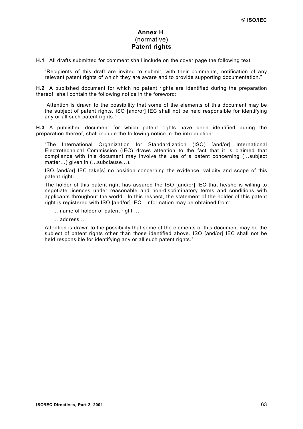## **Annex H**  (normative) **Patent rights**

<span id="page-62-0"></span>**H.1** All drafts submitted for comment shall include on the cover page the following text:

"Recipients of this draft are invited to submit, with their comments, notification of any relevant patent rights of which they are aware and to provide supporting documentation."

**H.2** A published document for which no patent rights are identified during the preparation thereof, shall contain the following notice in the foreword:

"Attention is drawn to the possibility that some of the elements of this document may be the subject of patent rights. ISO [and/or] IEC shall not be held responsible for identifying any or all such patent rights."

**H.3** A published document for which patent rights have been identified during the preparation thereof, shall include the following notice in the introduction:

"The International Organization for Standardization (ISO) [and/or] International Electrotechnical Commission (IEC) draws attention to the fact that it is claimed that compliance with this document may involve the use of a patent concerning (…subject matter…) given in (…subclause…).

ISO [and/or] IEC take[s] no position concerning the evidence, validity and scope of this patent right.

The holder of this patent right has assured the ISO [and/or] IEC that he/she is willing to negotiate licences under reasonable and non-discriminatory terms and conditions with applicants throughout the world. In this respect, the statement of the holder of this patent right is registered with ISO [and/or] IEC. Information may be obtained from:

... name of holder of patent right …

... address ...

Attention is drawn to the possibility that some of the elements of this document may be the subject of patent rights other than those identified above. ISO [and/or] IEC shall not be held responsible for identifying any or all such patent rights."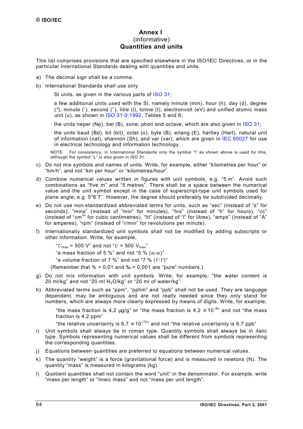## **Annex I**  (informative) **Quantities and units**

<span id="page-63-0"></span>This list comprises provisions that are specified elsewhere in the ISO/IEC Directives, or in the particular International Standards dealing with quantities and units.

- a) The decimal sign shall be a comma.
- b) International Standards shall use only
	- $\sim$  SI units, as given in the various parts of [ISO 31;](http://isotc.iso.ch/livelink/livelink?func=ll&objId=1012703&objAction=browse&sort=-modifydate/en)
	- $-$  a few additional units used with the SI, namely minute (min), hour (h), day (d), degree (°), minute (′), second (″), litre (l), tonne (t), electronvolt (eV) and unified atomic mass unit (u), as shown in  $ISO$  31-0:1992. Tables 5 and 6:
	- the units neper (Np), bel (B), sone, phon and octave, which are also given in [ISO 31;](http://isotc.iso.ch/livelink/livelink?func=ll&objId=1012703&objAction=browse&sort=-modifydate/en)
	- the units baud (Bd), bit (bit), octet (o), byte (B), erlang (E), hartley (Hart), natural unit of information (nat), shannon (Sh), and var (var), which are given in [IEC 60027](http://www.iec.ch/cgi-bin/procgi.pl/www/iecwww.p?wwwlang=E&wwwprog=sea22.p&search=iecnumber&header=IEC&pubno=60027&part=&se=&number=&searchfor=&ics=) for use in electrical technology and information technology.

NOTE For consistency, in International Standards only the symbol "l" as shown above is used for litre, although the symbol "L" is also given in ISO 31.

- c) Do not mix symbols and names of units. Write, for example, either "kilometres per hour" or "km/h", and not "km per hour" or "kilometres/hour".
- d) Combine numerical values written in figures with unit symbols, e.g. "5 m". Avoid such combinations as "five m" and "5 metres". There shall be a space between the numerical value and the unit symbol except in the case of superscript-type unit symbols used for plane angle, e.g. 5°6′7″. However, the degree should preferably be subdivided decimally.
- e) Do not use non-standardized abbreviated terms for units, such as "sec" (instead of "s" for seconds), "mins" (instead of "min" for minutes), "hrs" (instead of "h" for hours), "cc" (instead of "cm<sup>3</sup>" for cubic centimetres), "lit" (instead of "l" for litres), "amps" (instead of "A" for amperes), "rpm" (instead of "r/min" for revolutions per minute).
- f) Internationally standardized unit symbols shall not be modified by adding subscripts or other information. Write, for example,
	- " $U_{\text{max}}$  = 500 V" and not " $U$  = 500 V<sub>max</sub>"
	- "a mass fraction of 5 %" and not "5 % (*m*/*m*)"
	- "a volume fraction of 7 %" and not "7 % (*V*/*V*)"
	- (Remember that  $\% = 0.01$  and  $\% = 0.001$  are "pure" numbers.)
- g) Do not mix information with unit symbols. Write, for example, "the water content is 20 ml/kg" and not "20 ml  $H_2O/kg$ " or "20 ml of water/kg".
- h) Abbreviated terms such as "ppm", "pphm" and "ppb" shall not be used. They are language dependent, may be ambiguous and are not really needed since they only stand for numbers, which are always more clearly expressed by means of digits. Write, for example,

"the mass fraction is 4,2 µg/g" or "the mass fraction is 4,2  $\times$  10<sup>-6</sup>" and not "the mass fraction is 4,2 ppm"

"the relative uncertainty is 6,7  $\times$  10<sup>-12</sup>" and not "the relative uncertainty is 6,7 ppb"

- i) Unit symbols shall always be in roman type. Quantity symbols shall always be in italic type. Symbols representing numerical values shall be different from symbols representing the corresponding quantities.
- j) Equations between quantities are preferred to equations between numerical values.
- k) The quantity "weight" is a force (gravitational force) and is measured in newtons (N). The quantity "mass" is measured in kilograms (kg).
- l) Quotient quantities shall not contain the word "unit" in the denominator. For example, write "mass per length" or "lineic mass" and not "mass per unit length".